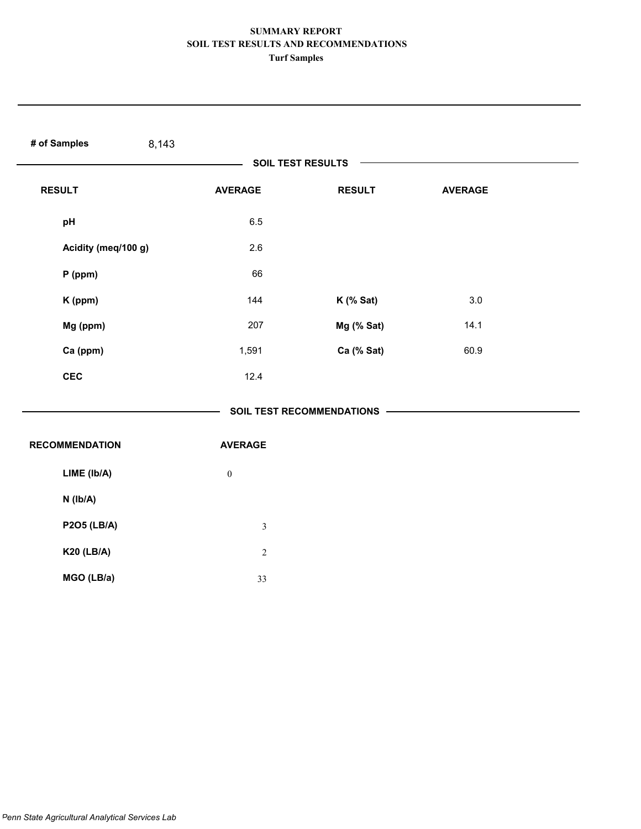| # of Samples<br>8,143 |                  |                             |                |  |
|-----------------------|------------------|-----------------------------|----------------|--|
|                       |                  | <b>SOIL TEST RESULTS</b>    |                |  |
| <b>RESULT</b>         | <b>AVERAGE</b>   | <b>RESULT</b>               | <b>AVERAGE</b> |  |
| pH                    | 6.5              |                             |                |  |
| Acidity (meq/100 g)   | 2.6              |                             |                |  |
| P (ppm)               | 66               |                             |                |  |
| K (ppm)               | 144              | $K$ (% Sat)                 | 3.0            |  |
| Mg (ppm)              | 207              | Mg (% Sat)                  | 14.1           |  |
| Ca (ppm)              | 1,591            | Ca (% Sat)                  | 60.9           |  |
| <b>CEC</b>            | 12.4             |                             |                |  |
|                       |                  | SOIL TEST RECOMMENDATIONS - |                |  |
| <b>RECOMMENDATION</b> | <b>AVERAGE</b>   |                             |                |  |
| LIME (Ib/A)           | $\boldsymbol{0}$ |                             |                |  |
| N (Ib/A)              |                  |                             |                |  |
| <b>P2O5 (LB/A)</b>    | $\mathfrak{Z}$   |                             |                |  |
| <b>K20 (LB/A)</b>     | $\sqrt{2}$       |                             |                |  |
| MGO (LB/a)            | 33               |                             |                |  |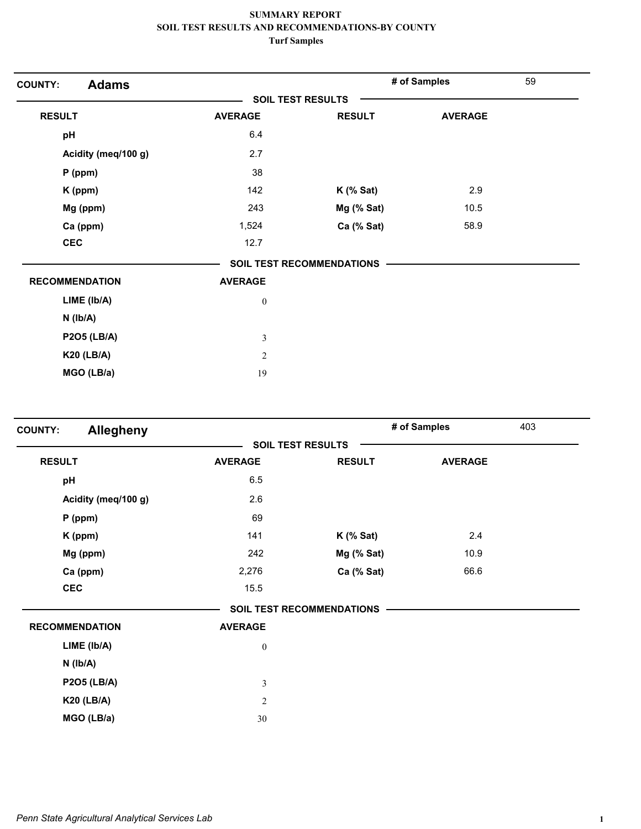| <b>Adams</b><br><b>COUNTY:</b> |                          |                                  | # of Samples   | 59 |
|--------------------------------|--------------------------|----------------------------------|----------------|----|
|                                | <b>SOIL TEST RESULTS</b> |                                  |                |    |
| <b>RESULT</b>                  | <b>AVERAGE</b>           | <b>RESULT</b>                    | <b>AVERAGE</b> |    |
| pH                             | 6.4                      |                                  |                |    |
| Acidity (meq/100 g)            | 2.7                      |                                  |                |    |
| $P$ (ppm)                      | 38                       |                                  |                |    |
| K (ppm)                        | 142                      | $K$ (% Sat)                      | 2.9            |    |
| Mg (ppm)                       | 243                      | Mg (% Sat)                       | 10.5           |    |
| Ca (ppm)                       | 1,524                    | Ca (% Sat)                       | 58.9           |    |
| <b>CEC</b>                     | 12.7                     |                                  |                |    |
|                                |                          | <b>SOIL TEST RECOMMENDATIONS</b> |                |    |
| <b>RECOMMENDATION</b>          | <b>AVERAGE</b>           |                                  |                |    |
| LIME (lb/A)                    | $\boldsymbol{0}$         |                                  |                |    |
| $N$ ( $lb/A$ )                 |                          |                                  |                |    |
| <b>P2O5 (LB/A)</b>             | 3                        |                                  |                |    |
| <b>K20 (LB/A)</b>              | $\mathfrak{2}$           |                                  |                |    |
| MGO (LB/a)                     | 19                       |                                  |                |    |

| Allegheny<br><b>COUNTY:</b> |                          |                                  | # of Samples<br>403 |  |
|-----------------------------|--------------------------|----------------------------------|---------------------|--|
|                             | <b>SOIL TEST RESULTS</b> |                                  |                     |  |
| <b>RESULT</b>               | <b>AVERAGE</b>           | <b>RESULT</b>                    | <b>AVERAGE</b>      |  |
| pH                          | 6.5                      |                                  |                     |  |
| Acidity (meq/100 g)         | 2.6                      |                                  |                     |  |
| $P$ (ppm)                   | 69                       |                                  |                     |  |
| K (ppm)                     | 141                      | $K$ (% Sat)                      | 2.4                 |  |
| Mg (ppm)                    | 242                      | Mg (% Sat)                       | 10.9                |  |
| Ca (ppm)                    | 2,276                    | Ca (% Sat)                       | 66.6                |  |
| <b>CEC</b>                  | 15.5                     |                                  |                     |  |
|                             |                          | <b>SOIL TEST RECOMMENDATIONS</b> |                     |  |
| <b>RECOMMENDATION</b>       | <b>AVERAGE</b>           |                                  |                     |  |
| LIME (lb/A)                 | $\boldsymbol{0}$         |                                  |                     |  |
| $N$ ( $Ib/A$ )              |                          |                                  |                     |  |
| <b>P2O5 (LB/A)</b>          | $\mathfrak{Z}$           |                                  |                     |  |
| <b>K20 (LB/A)</b>           | $\overline{c}$           |                                  |                     |  |
| MGO (LB/a)                  | 30                       |                                  |                     |  |
|                             |                          |                                  |                     |  |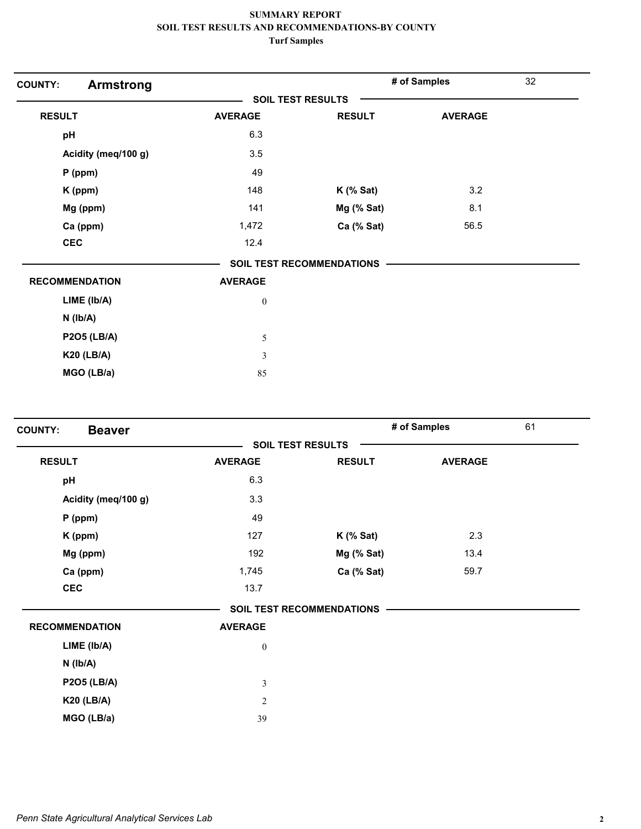| <b>COUNTY:</b><br><b>Armstrong</b> |                  |                           | # of Samples   | 32 |
|------------------------------------|------------------|---------------------------|----------------|----|
|                                    |                  | <b>SOIL TEST RESULTS</b>  |                |    |
| <b>RESULT</b>                      | <b>AVERAGE</b>   | <b>RESULT</b>             | <b>AVERAGE</b> |    |
| pH                                 | 6.3              |                           |                |    |
| Acidity (meq/100 g)                | 3.5              |                           |                |    |
| $P$ (ppm)                          | 49               |                           |                |    |
| K (ppm)                            | 148              | $K$ (% Sat)               | 3.2            |    |
| Mg (ppm)                           | 141              | Mg (% Sat)                | 8.1            |    |
| Ca (ppm)                           | 1,472            | Ca (% Sat)                | 56.5           |    |
| <b>CEC</b>                         | 12.4             |                           |                |    |
|                                    |                  | SOIL TEST RECOMMENDATIONS |                |    |
| <b>RECOMMENDATION</b>              | <b>AVERAGE</b>   |                           |                |    |
| LIME (Ib/A)                        | $\boldsymbol{0}$ |                           |                |    |
| $N$ ( $lb/A$ )                     |                  |                           |                |    |
| <b>P2O5 (LB/A)</b>                 | 5                |                           |                |    |
| <b>K20 (LB/A)</b>                  | $\mathfrak{Z}$   |                           |                |    |
| MGO (LB/a)                         | 85               |                           |                |    |

| <b>Beaver</b><br><b>COUNTY:</b> |                  |                                  | # of Samples   | 61 |
|---------------------------------|------------------|----------------------------------|----------------|----|
|                                 |                  | <b>SOIL TEST RESULTS</b>         |                |    |
| <b>RESULT</b>                   | <b>AVERAGE</b>   | <b>RESULT</b>                    | <b>AVERAGE</b> |    |
| pH                              | 6.3              |                                  |                |    |
| Acidity (meq/100 g)             | 3.3              |                                  |                |    |
| $P$ (ppm)                       | 49               |                                  |                |    |
| K (ppm)                         | 127              | $K$ (% Sat)                      | 2.3            |    |
| Mg (ppm)                        | 192              | Mg (% Sat)                       | 13.4           |    |
| Ca (ppm)                        | 1,745            | Ca (% Sat)                       | 59.7           |    |
| <b>CEC</b>                      | 13.7             |                                  |                |    |
|                                 |                  | <b>SOIL TEST RECOMMENDATIONS</b> |                |    |
| <b>RECOMMENDATION</b>           | <b>AVERAGE</b>   |                                  |                |    |
| LIME (lb/A)                     | $\boldsymbol{0}$ |                                  |                |    |
| $N$ ( $Ib/A$ )                  |                  |                                  |                |    |
| <b>P2O5 (LB/A)</b>              | $\mathfrak{Z}$   |                                  |                |    |
| <b>K20 (LB/A)</b>               | $\overline{2}$   |                                  |                |    |
| MGO (LB/a)                      | 39               |                                  |                |    |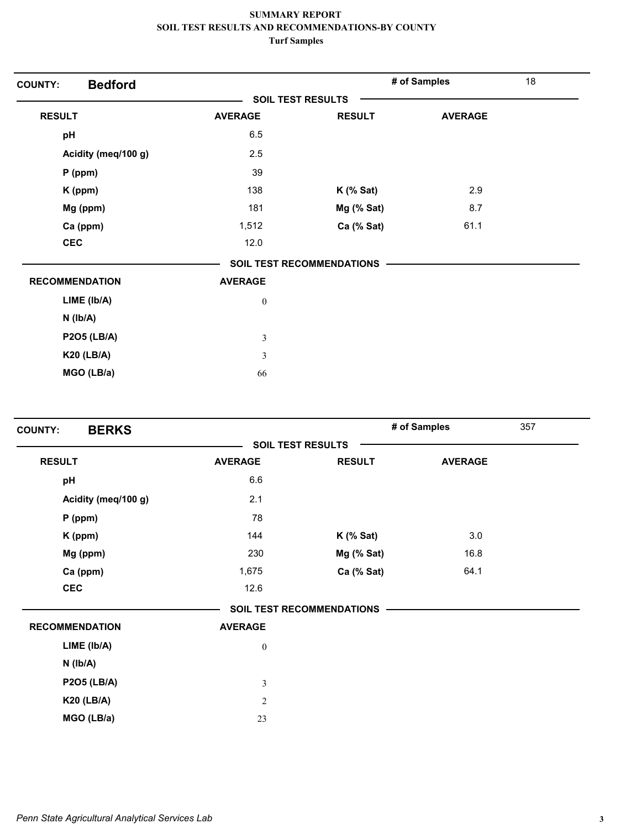| <b>Bedford</b><br><b>COUNTY:</b> |                  |                                  | # of Samples   | 18 |
|----------------------------------|------------------|----------------------------------|----------------|----|
|                                  |                  | <b>SOIL TEST RESULTS</b>         |                |    |
| <b>RESULT</b>                    | <b>AVERAGE</b>   | <b>RESULT</b>                    | <b>AVERAGE</b> |    |
| pH                               | 6.5              |                                  |                |    |
| Acidity (meq/100 g)              | 2.5              |                                  |                |    |
| $P$ (ppm)                        | 39               |                                  |                |    |
| K (ppm)                          | 138              | $K$ (% Sat)                      | 2.9            |    |
| Mg (ppm)                         | 181              | Mg (% Sat)                       | 8.7            |    |
| Ca (ppm)                         | 1,512            | Ca (% Sat)                       | 61.1           |    |
| <b>CEC</b>                       | 12.0             |                                  |                |    |
|                                  |                  | <b>SOIL TEST RECOMMENDATIONS</b> |                |    |
| <b>RECOMMENDATION</b>            | <b>AVERAGE</b>   |                                  |                |    |
| LIME (Ib/A)                      | $\boldsymbol{0}$ |                                  |                |    |
| $N$ ( $lb/A$ )                   |                  |                                  |                |    |
| <b>P2O5 (LB/A)</b>               | $\mathfrak{Z}$   |                                  |                |    |
| <b>K20 (LB/A)</b>                | $\mathfrak{Z}$   |                                  |                |    |
| MGO (LB/a)                       | 66               |                                  |                |    |

| <b>BERKS</b><br><b>COUNTY:</b> |                  |                                  | # of Samples   | 357 |
|--------------------------------|------------------|----------------------------------|----------------|-----|
|                                |                  | <b>SOIL TEST RESULTS</b>         |                |     |
| <b>RESULT</b>                  | <b>AVERAGE</b>   | <b>RESULT</b>                    | <b>AVERAGE</b> |     |
| pH                             | 6.6              |                                  |                |     |
| Acidity (meq/100 g)            | 2.1              |                                  |                |     |
| $P$ (ppm)                      | 78               |                                  |                |     |
| K (ppm)                        | 144              | $K$ (% Sat)                      | 3.0            |     |
| Mg (ppm)                       | 230              | Mg (% Sat)                       | 16.8           |     |
| Ca (ppm)                       | 1,675            | Ca (% Sat)                       | 64.1           |     |
| <b>CEC</b>                     | 12.6             |                                  |                |     |
|                                |                  | <b>SOIL TEST RECOMMENDATIONS</b> |                |     |
| <b>RECOMMENDATION</b>          | <b>AVERAGE</b>   |                                  |                |     |
| LIME (Ib/A)                    | $\boldsymbol{0}$ |                                  |                |     |
| $N$ ( $lb/A$ )                 |                  |                                  |                |     |
| <b>P2O5 (LB/A)</b>             | $\mathfrak{Z}$   |                                  |                |     |
| <b>K20 (LB/A)</b>              | $\sqrt{2}$       |                                  |                |     |
| MGO (LB/a)                     | 23               |                                  |                |     |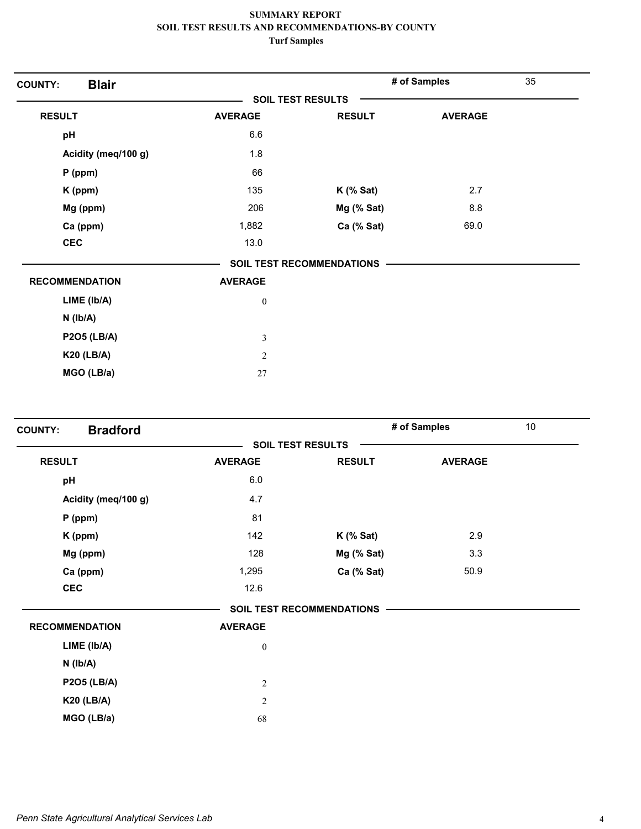| <b>Blair</b><br><b>COUNTY:</b> |                          |                           | # of Samples   | 35 |
|--------------------------------|--------------------------|---------------------------|----------------|----|
|                                | <b>SOIL TEST RESULTS</b> |                           |                |    |
| <b>RESULT</b>                  | <b>AVERAGE</b>           | <b>RESULT</b>             | <b>AVERAGE</b> |    |
| pH                             | 6.6                      |                           |                |    |
| Acidity (meq/100 g)            | 1.8                      |                           |                |    |
| $P$ (ppm)                      | 66                       |                           |                |    |
| K (ppm)                        | 135                      | $K$ (% Sat)               | 2.7            |    |
| Mg (ppm)                       | 206                      | Mg (% Sat)                | 8.8            |    |
| Ca (ppm)                       | 1,882                    | Ca (% Sat)                | 69.0           |    |
| <b>CEC</b>                     | 13.0                     |                           |                |    |
|                                |                          | SOIL TEST RECOMMENDATIONS |                |    |
| <b>RECOMMENDATION</b>          | <b>AVERAGE</b>           |                           |                |    |
| LIME (Ib/A)                    | $\boldsymbol{0}$         |                           |                |    |
| $N$ ( $Ib/A$ )                 |                          |                           |                |    |
| <b>P2O5 (LB/A)</b>             | $\mathfrak{Z}$           |                           |                |    |
| <b>K20 (LB/A)</b>              | $\overline{2}$           |                           |                |    |
| MGO (LB/a)                     | $27\,$                   |                           |                |    |

| <b>Bradford</b><br><b>COUNTY:</b> |                  |                           | # of Samples   | 10 |
|-----------------------------------|------------------|---------------------------|----------------|----|
|                                   |                  | <b>SOIL TEST RESULTS</b>  |                |    |
| <b>RESULT</b>                     | <b>AVERAGE</b>   | <b>RESULT</b>             | <b>AVERAGE</b> |    |
| pH                                | $6.0\,$          |                           |                |    |
| Acidity (meq/100 g)               | 4.7              |                           |                |    |
| $P$ (ppm)                         | 81               |                           |                |    |
| K (ppm)                           | 142              | $K$ (% Sat)               | 2.9            |    |
| Mg (ppm)                          | 128              | Mg (% Sat)                | 3.3            |    |
| Ca (ppm)                          | 1,295            | Ca (% Sat)                | 50.9           |    |
| <b>CEC</b>                        | 12.6             |                           |                |    |
|                                   |                  | SOIL TEST RECOMMENDATIONS |                |    |
| <b>RECOMMENDATION</b>             | <b>AVERAGE</b>   |                           |                |    |
| LIME (lb/A)                       | $\boldsymbol{0}$ |                           |                |    |
| $N$ ( $Ib/A$ )                    |                  |                           |                |    |
| <b>P2O5 (LB/A)</b>                | $\sqrt{2}$       |                           |                |    |
| <b>K20 (LB/A)</b>                 | $\sqrt{2}$       |                           |                |    |
| MGO (LB/a)                        | 68               |                           |                |    |
|                                   |                  |                           |                |    |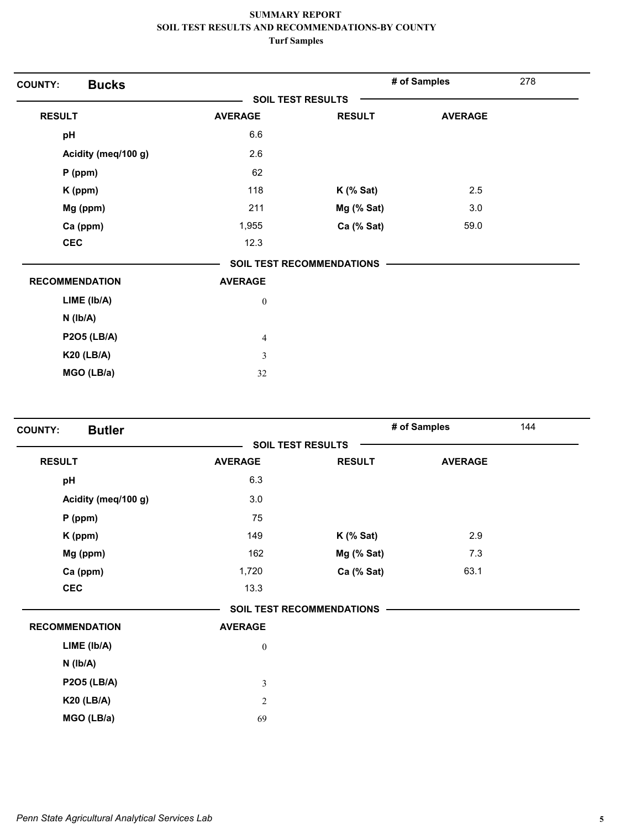| <b>Bucks</b><br><b>COUNTY:</b> |                  |                           | # of Samples   | 278 |
|--------------------------------|------------------|---------------------------|----------------|-----|
|                                |                  | <b>SOIL TEST RESULTS</b>  |                |     |
| <b>RESULT</b>                  | <b>AVERAGE</b>   | <b>RESULT</b>             | <b>AVERAGE</b> |     |
| pH                             | 6.6              |                           |                |     |
| Acidity (meq/100 g)            | 2.6              |                           |                |     |
| $P$ (ppm)                      | 62               |                           |                |     |
| K (ppm)                        | 118              | $K$ (% Sat)               | 2.5            |     |
| Mg (ppm)                       | 211              | Mg (% Sat)                | 3.0            |     |
| Ca (ppm)                       | 1,955            | Ca (% Sat)                | 59.0           |     |
| <b>CEC</b>                     | 12.3             |                           |                |     |
|                                |                  | SOIL TEST RECOMMENDATIONS |                |     |
| <b>RECOMMENDATION</b>          | <b>AVERAGE</b>   |                           |                |     |
| LIME (Ib/A)                    | $\boldsymbol{0}$ |                           |                |     |
| $N$ ( $Ib/A$ )                 |                  |                           |                |     |
| <b>P2O5 (LB/A)</b>             | $\overline{4}$   |                           |                |     |
| <b>K20 (LB/A)</b>              | $\mathfrak{Z}$   |                           |                |     |
| MGO (LB/a)                     | 32               |                           |                |     |

| <b>Butler</b><br><b>COUNTY:</b> |                  |                                  | # of Samples<br>144 |  |
|---------------------------------|------------------|----------------------------------|---------------------|--|
|                                 |                  | <b>SOIL TEST RESULTS</b>         |                     |  |
| <b>RESULT</b>                   | <b>AVERAGE</b>   | <b>RESULT</b>                    | <b>AVERAGE</b>      |  |
| pH                              | 6.3              |                                  |                     |  |
| Acidity (meq/100 g)             | 3.0              |                                  |                     |  |
| $P$ (ppm)                       | 75               |                                  |                     |  |
| K (ppm)                         | 149              | $K$ (% Sat)                      | 2.9                 |  |
| Mg (ppm)                        | 162              | Mg (% Sat)                       | 7.3                 |  |
| Ca (ppm)                        | 1,720            | Ca (% Sat)                       | 63.1                |  |
| <b>CEC</b>                      | 13.3             |                                  |                     |  |
|                                 |                  | <b>SOIL TEST RECOMMENDATIONS</b> |                     |  |
| <b>RECOMMENDATION</b>           | <b>AVERAGE</b>   |                                  |                     |  |
| LIME (Ib/A)                     | $\boldsymbol{0}$ |                                  |                     |  |
| $N$ ( $Ib/A$ )                  |                  |                                  |                     |  |
| <b>P2O5 (LB/A)</b>              | $\mathfrak{Z}$   |                                  |                     |  |
| <b>K20 (LB/A)</b>               | $\overline{2}$   |                                  |                     |  |
| MGO (LB/a)                      | 69               |                                  |                     |  |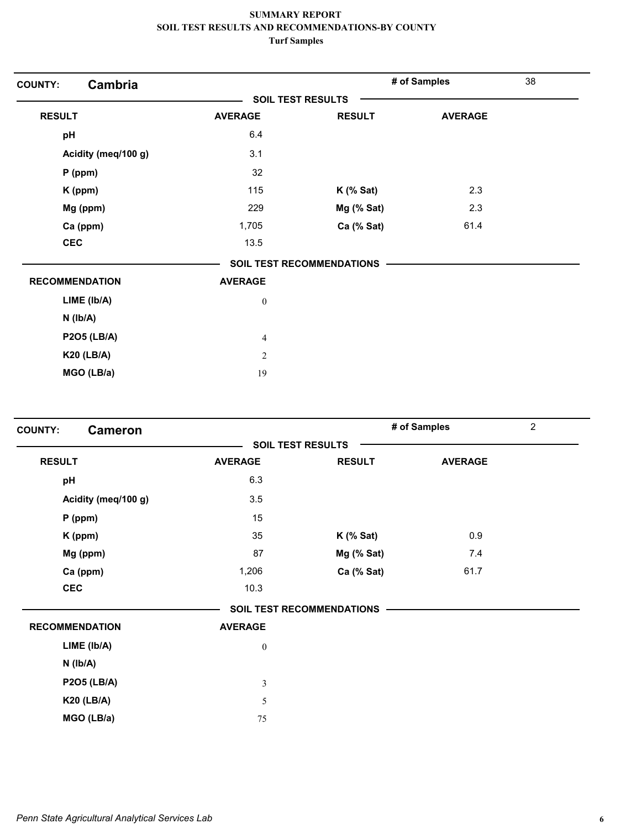| Cambria<br><b>COUNTY:</b> |                  |                                  | # of Samples   | 38 |
|---------------------------|------------------|----------------------------------|----------------|----|
|                           |                  | <b>SOIL TEST RESULTS</b>         |                |    |
| <b>RESULT</b>             | <b>AVERAGE</b>   | <b>RESULT</b>                    | <b>AVERAGE</b> |    |
| pH                        | 6.4              |                                  |                |    |
| Acidity (meq/100 g)       | 3.1              |                                  |                |    |
| P (ppm)                   | 32               |                                  |                |    |
| K (ppm)                   | 115              | $K$ (% Sat)                      | 2.3            |    |
| Mg (ppm)                  | 229              | Mg (% Sat)                       | 2.3            |    |
| Ca (ppm)                  | 1,705            | Ca (% Sat)                       | 61.4           |    |
| <b>CEC</b>                | 13.5             |                                  |                |    |
|                           |                  | <b>SOIL TEST RECOMMENDATIONS</b> |                |    |
| <b>RECOMMENDATION</b>     | <b>AVERAGE</b>   |                                  |                |    |
| LIME (Ib/A)               | $\boldsymbol{0}$ |                                  |                |    |
| $N$ ( $lb/A$ )            |                  |                                  |                |    |
| <b>P2O5 (LB/A)</b>        | $\overline{4}$   |                                  |                |    |
| <b>K20 (LB/A)</b>         | $\mathfrak{2}$   |                                  |                |    |
| MGO (LB/a)                | 19               |                                  |                |    |

| <b>COUNTY:</b><br><b>Cameron</b> |                  |                                  | # of Samples   | $\overline{2}$ |
|----------------------------------|------------------|----------------------------------|----------------|----------------|
|                                  |                  | <b>SOIL TEST RESULTS</b>         |                |                |
| <b>RESULT</b>                    | <b>AVERAGE</b>   | <b>RESULT</b>                    | <b>AVERAGE</b> |                |
| pH                               | 6.3              |                                  |                |                |
| Acidity (meq/100 g)              | 3.5              |                                  |                |                |
| $P$ (ppm)                        | 15               |                                  |                |                |
| K (ppm)                          | 35               | $K$ (% Sat)                      | 0.9            |                |
| Mg (ppm)                         | 87               | Mg (% Sat)                       | 7.4            |                |
| Ca (ppm)                         | 1,206            | Ca (% Sat)                       | 61.7           |                |
| <b>CEC</b>                       | 10.3             |                                  |                |                |
|                                  |                  | <b>SOIL TEST RECOMMENDATIONS</b> |                |                |
| <b>RECOMMENDATION</b>            | <b>AVERAGE</b>   |                                  |                |                |
| LIME (lb/A)                      | $\boldsymbol{0}$ |                                  |                |                |
| $N$ ( $Ib/A$ )                   |                  |                                  |                |                |
| <b>P2O5 (LB/A)</b>               | $\mathfrak{Z}$   |                                  |                |                |
| <b>K20 (LB/A)</b>                | 5                |                                  |                |                |
| MGO (LB/a)                       | 75               |                                  |                |                |
|                                  |                  |                                  |                |                |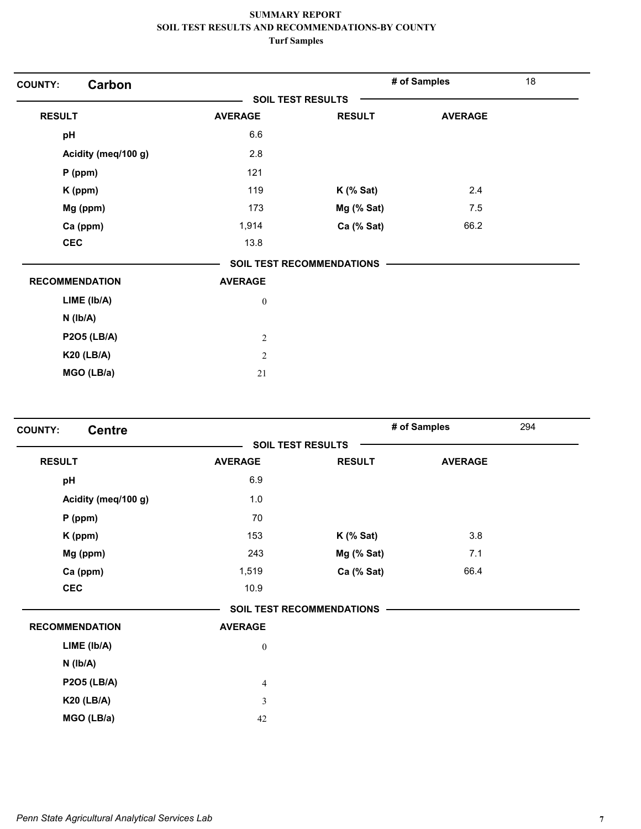| Carbon<br><b>COUNTY:</b> |                          |                                  | # of Samples   | 18 |
|--------------------------|--------------------------|----------------------------------|----------------|----|
|                          | <b>SOIL TEST RESULTS</b> |                                  |                |    |
| <b>RESULT</b>            | <b>AVERAGE</b>           | <b>RESULT</b>                    | <b>AVERAGE</b> |    |
| pH                       | 6.6                      |                                  |                |    |
| Acidity (meq/100 g)      | 2.8                      |                                  |                |    |
| $P$ (ppm)                | 121                      |                                  |                |    |
| K (ppm)                  | 119                      | $K$ (% Sat)                      | 2.4            |    |
| Mg (ppm)                 | 173                      | Mg (% Sat)                       | 7.5            |    |
| Ca (ppm)                 | 1,914                    | Ca (% Sat)                       | 66.2           |    |
| <b>CEC</b>               | 13.8                     |                                  |                |    |
|                          |                          | <b>SOIL TEST RECOMMENDATIONS</b> |                |    |
| <b>RECOMMENDATION</b>    | <b>AVERAGE</b>           |                                  |                |    |
| LIME (Ib/A)              | $\boldsymbol{0}$         |                                  |                |    |
| $N$ ( $lb/A$ )           |                          |                                  |                |    |
| <b>P2O5 (LB/A)</b>       | $\sqrt{2}$               |                                  |                |    |
| <b>K20 (LB/A)</b>        | $\sqrt{2}$               |                                  |                |    |
| MGO (LB/a)               | 21                       |                                  |                |    |

| <b>SOIL TEST RESULTS</b><br><b>RESULT</b><br><b>AVERAGE</b><br><b>RESULT</b><br><b>AVERAGE</b><br>6.9<br>pH<br>Acidity (meq/100 g)<br>1.0<br>70<br>$P$ (ppm)<br>153<br>3.8<br>$K$ (% Sat)<br>K (ppm)<br>Mg (ppm)<br>243<br>Mg (% Sat)<br>7.1<br>66.4<br>Ca (ppm)<br>1,519<br>Ca (% Sat)<br><b>CEC</b><br>10.9<br><b>SOIL TEST RECOMMENDATIONS</b><br><b>RECOMMENDATION</b><br><b>AVERAGE</b><br>LIME (Ib/A)<br>$\boldsymbol{0}$<br>$N$ ( $Ib/A$ )<br><b>P2O5 (LB/A)</b><br>$\overline{\mathbf{4}}$<br><b>K20 (LB/A)</b><br>3<br>MGO (LB/a)<br>42 | <b>Centre</b><br><b>COUNTY:</b> |  | # of Samples<br>294 |  |
|--------------------------------------------------------------------------------------------------------------------------------------------------------------------------------------------------------------------------------------------------------------------------------------------------------------------------------------------------------------------------------------------------------------------------------------------------------------------------------------------------------------------------------------------------|---------------------------------|--|---------------------|--|
|                                                                                                                                                                                                                                                                                                                                                                                                                                                                                                                                                  |                                 |  |                     |  |
|                                                                                                                                                                                                                                                                                                                                                                                                                                                                                                                                                  |                                 |  |                     |  |
|                                                                                                                                                                                                                                                                                                                                                                                                                                                                                                                                                  |                                 |  |                     |  |
|                                                                                                                                                                                                                                                                                                                                                                                                                                                                                                                                                  |                                 |  |                     |  |
|                                                                                                                                                                                                                                                                                                                                                                                                                                                                                                                                                  |                                 |  |                     |  |
|                                                                                                                                                                                                                                                                                                                                                                                                                                                                                                                                                  |                                 |  |                     |  |
|                                                                                                                                                                                                                                                                                                                                                                                                                                                                                                                                                  |                                 |  |                     |  |
|                                                                                                                                                                                                                                                                                                                                                                                                                                                                                                                                                  |                                 |  |                     |  |
|                                                                                                                                                                                                                                                                                                                                                                                                                                                                                                                                                  |                                 |  |                     |  |
|                                                                                                                                                                                                                                                                                                                                                                                                                                                                                                                                                  |                                 |  |                     |  |
|                                                                                                                                                                                                                                                                                                                                                                                                                                                                                                                                                  |                                 |  |                     |  |
|                                                                                                                                                                                                                                                                                                                                                                                                                                                                                                                                                  |                                 |  |                     |  |
|                                                                                                                                                                                                                                                                                                                                                                                                                                                                                                                                                  |                                 |  |                     |  |
|                                                                                                                                                                                                                                                                                                                                                                                                                                                                                                                                                  |                                 |  |                     |  |
|                                                                                                                                                                                                                                                                                                                                                                                                                                                                                                                                                  |                                 |  |                     |  |
|                                                                                                                                                                                                                                                                                                                                                                                                                                                                                                                                                  |                                 |  |                     |  |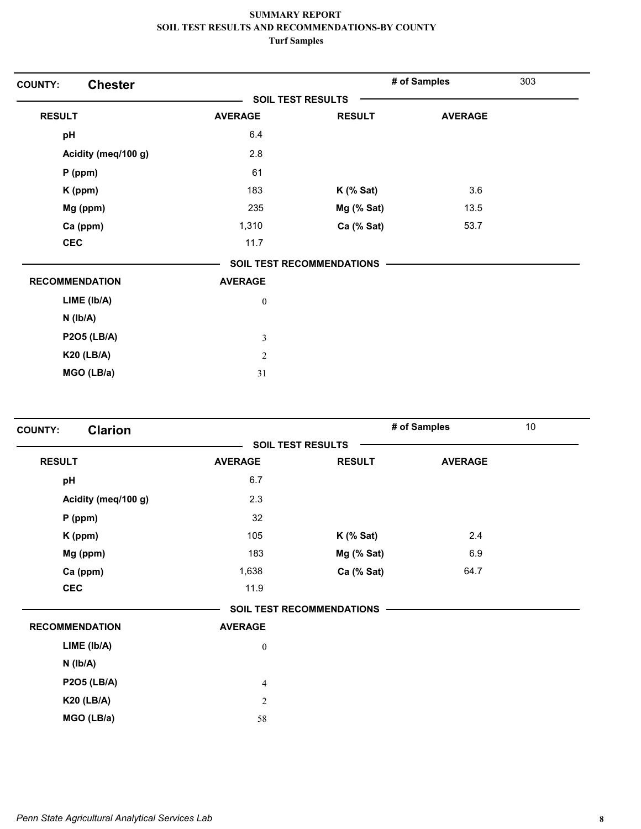| <b>Chester</b><br><b>COUNTY:</b> |                          |                                  | # of Samples   | 303 |
|----------------------------------|--------------------------|----------------------------------|----------------|-----|
|                                  | <b>SOIL TEST RESULTS</b> |                                  |                |     |
| <b>RESULT</b>                    | <b>AVERAGE</b>           | <b>RESULT</b>                    | <b>AVERAGE</b> |     |
| pH                               | 6.4                      |                                  |                |     |
| Acidity (meq/100 g)              | 2.8                      |                                  |                |     |
| $P$ (ppm)                        | 61                       |                                  |                |     |
| K (ppm)                          | 183                      | $K$ (% Sat)                      | 3.6            |     |
| Mg (ppm)                         | 235                      | Mg (% Sat)                       | 13.5           |     |
| Ca (ppm)                         | 1,310                    | Ca (% Sat)                       | 53.7           |     |
| <b>CEC</b>                       | 11.7                     |                                  |                |     |
|                                  |                          | <b>SOIL TEST RECOMMENDATIONS</b> |                |     |
| <b>RECOMMENDATION</b>            | <b>AVERAGE</b>           |                                  |                |     |
| LIME (lb/A)                      | $\boldsymbol{0}$         |                                  |                |     |
| $N$ ( $lb/A$ )                   |                          |                                  |                |     |
| <b>P2O5 (LB/A)</b>               | $\mathfrak{Z}$           |                                  |                |     |
| <b>K20 (LB/A)</b>                | $\mathbf{2}$             |                                  |                |     |
| MGO (LB/a)                       | 31                       |                                  |                |     |

| # of Samples<br><b>Clarion</b><br><b>COUNTY:</b> |                  |                                  | 10             |  |
|--------------------------------------------------|------------------|----------------------------------|----------------|--|
|                                                  |                  | <b>SOIL TEST RESULTS</b>         |                |  |
| <b>RESULT</b>                                    | <b>AVERAGE</b>   | <b>RESULT</b>                    | <b>AVERAGE</b> |  |
| pH                                               | 6.7              |                                  |                |  |
| Acidity (meq/100 g)                              | 2.3              |                                  |                |  |
| $P$ (ppm)                                        | 32               |                                  |                |  |
| K (ppm)                                          | 105              | $K$ (% Sat)                      | 2.4            |  |
| Mg (ppm)                                         | 183              | Mg (% Sat)                       | 6.9            |  |
| Ca (ppm)                                         | 1,638            | Ca (% Sat)                       | 64.7           |  |
| <b>CEC</b>                                       | 11.9             |                                  |                |  |
|                                                  |                  | <b>SOIL TEST RECOMMENDATIONS</b> |                |  |
| <b>RECOMMENDATION</b>                            | <b>AVERAGE</b>   |                                  |                |  |
| LIME (lb/A)                                      | $\boldsymbol{0}$ |                                  |                |  |
| $N$ ( $Ib/A$ )                                   |                  |                                  |                |  |
| <b>P2O5 (LB/A)</b>                               | $\overline{4}$   |                                  |                |  |
| <b>K20 (LB/A)</b>                                | $\sqrt{2}$       |                                  |                |  |
| MGO (LB/a)                                       | 58               |                                  |                |  |
|                                                  |                  |                                  |                |  |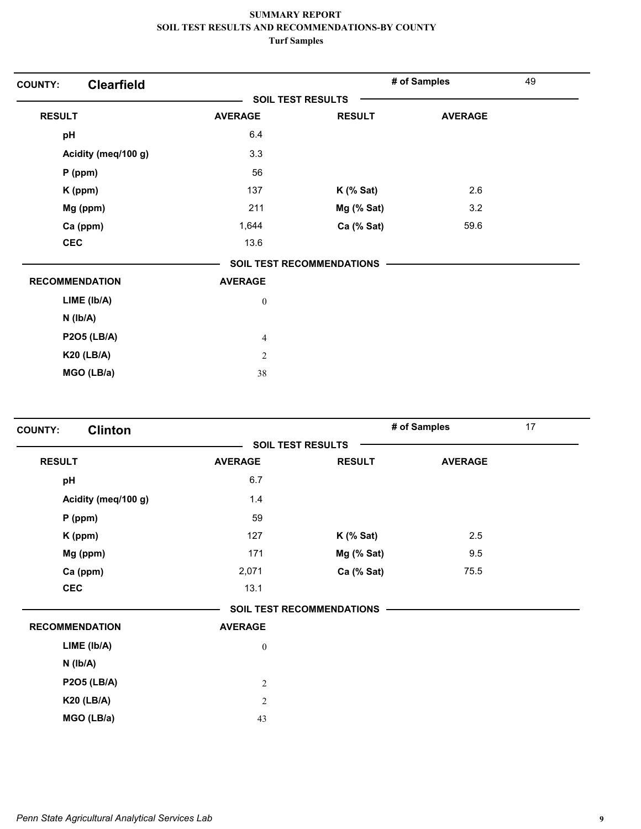| <b>Clearfield</b><br><b>COUNTY:</b> |                  |                                  | # of Samples   | 49 |
|-------------------------------------|------------------|----------------------------------|----------------|----|
|                                     |                  | <b>SOIL TEST RESULTS</b>         |                |    |
| <b>RESULT</b>                       | <b>AVERAGE</b>   | <b>RESULT</b>                    | <b>AVERAGE</b> |    |
| pH                                  | 6.4              |                                  |                |    |
| Acidity (meq/100 g)                 | 3.3              |                                  |                |    |
| P (ppm)                             | 56               |                                  |                |    |
| K (ppm)                             | 137              | $K$ (% Sat)                      | 2.6            |    |
| Mg (ppm)                            | 211              | Mg (% Sat)                       | 3.2            |    |
| Ca (ppm)                            | 1,644            | Ca (% Sat)                       | 59.6           |    |
| <b>CEC</b>                          | 13.6             |                                  |                |    |
|                                     |                  | <b>SOIL TEST RECOMMENDATIONS</b> |                |    |
| <b>RECOMMENDATION</b>               | <b>AVERAGE</b>   |                                  |                |    |
| LIME (Ib/A)                         | $\boldsymbol{0}$ |                                  |                |    |
| $N$ ( $lb/A$ )                      |                  |                                  |                |    |
| <b>P2O5 (LB/A)</b>                  | $\overline{4}$   |                                  |                |    |
| <b>K20 (LB/A)</b>                   | $\mathfrak{2}$   |                                  |                |    |
| MGO (LB/a)                          | 38               |                                  |                |    |

| <b>Clinton</b><br><b>COUNTY:</b> |                  |                                  | # of Samples   | 17 |
|----------------------------------|------------------|----------------------------------|----------------|----|
|                                  |                  | <b>SOIL TEST RESULTS</b>         |                |    |
| <b>RESULT</b>                    | <b>AVERAGE</b>   | <b>RESULT</b>                    | <b>AVERAGE</b> |    |
| pH                               | 6.7              |                                  |                |    |
| Acidity (meq/100 g)              | 1.4              |                                  |                |    |
| $P$ (ppm)                        | 59               |                                  |                |    |
| K (ppm)                          | 127              | $K$ (% Sat)                      | 2.5            |    |
| Mg (ppm)                         | 171              | Mg (% Sat)                       | 9.5            |    |
| Ca (ppm)                         | 2,071            | Ca (% Sat)                       | 75.5           |    |
| <b>CEC</b>                       | 13.1             |                                  |                |    |
|                                  |                  | <b>SOIL TEST RECOMMENDATIONS</b> |                |    |
| <b>RECOMMENDATION</b>            | <b>AVERAGE</b>   |                                  |                |    |
| LIME (lb/A)                      | $\boldsymbol{0}$ |                                  |                |    |
| $N$ ( $Ib/A$ )                   |                  |                                  |                |    |
| <b>P2O5 (LB/A)</b>               | $\sqrt{2}$       |                                  |                |    |
| <b>K20 (LB/A)</b>                | $\overline{2}$   |                                  |                |    |
| MGO (LB/a)                       | 43               |                                  |                |    |
|                                  |                  |                                  |                |    |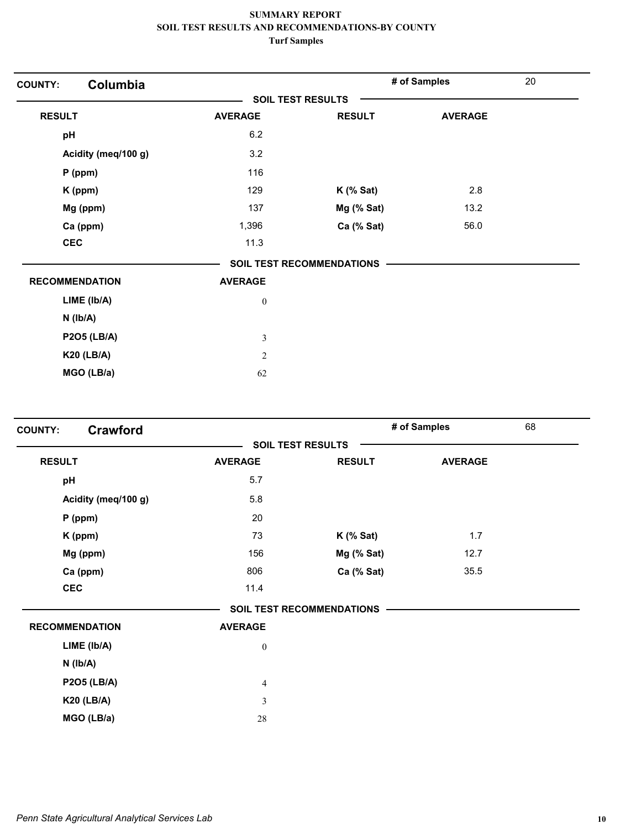| Columbia<br><b>COUNTY:</b> |                  |                                  | # of Samples   | 20 |
|----------------------------|------------------|----------------------------------|----------------|----|
|                            |                  | <b>SOIL TEST RESULTS</b>         |                |    |
| <b>RESULT</b>              | <b>AVERAGE</b>   | <b>RESULT</b>                    | <b>AVERAGE</b> |    |
| pH                         | 6.2              |                                  |                |    |
| Acidity (meq/100 g)        | 3.2              |                                  |                |    |
| P (ppm)                    | 116              |                                  |                |    |
| K (ppm)                    | 129              | $K$ (% Sat)                      | 2.8            |    |
| Mg (ppm)                   | 137              | Mg (% Sat)                       | 13.2           |    |
| Ca (ppm)                   | 1,396            | Ca (% Sat)                       | 56.0           |    |
| <b>CEC</b>                 | 11.3             |                                  |                |    |
|                            |                  | <b>SOIL TEST RECOMMENDATIONS</b> |                |    |
| <b>RECOMMENDATION</b>      | <b>AVERAGE</b>   |                                  |                |    |
| LIME (Ib/A)                | $\boldsymbol{0}$ |                                  |                |    |
| $N$ ( $lb/A$ )             |                  |                                  |                |    |
| <b>P2O5 (LB/A)</b>         | $\mathfrak{Z}$   |                                  |                |    |
| <b>K20 (LB/A)</b>          | $\mathfrak{2}$   |                                  |                |    |
| MGO (LB/a)                 | 62               |                                  |                |    |

| <b>COUNTY:</b> | <b>Crawford</b>       |                  |                                  | # of Samples   | 68 |
|----------------|-----------------------|------------------|----------------------------------|----------------|----|
|                |                       |                  | <b>SOIL TEST RESULTS</b>         |                |    |
| <b>RESULT</b>  |                       | <b>AVERAGE</b>   | <b>RESULT</b>                    | <b>AVERAGE</b> |    |
| pH             |                       | 5.7              |                                  |                |    |
|                | Acidity (meq/100 g)   | 5.8              |                                  |                |    |
|                | $P$ (ppm)             | 20               |                                  |                |    |
|                | K (ppm)               | 73               | $K$ (% Sat)                      | 1.7            |    |
|                | Mg (ppm)              | 156              | $Mg$ (% Sat)                     | 12.7           |    |
|                | Ca (ppm)              | 806              | Ca (% Sat)                       | 35.5           |    |
| <b>CEC</b>     |                       | 11.4             |                                  |                |    |
|                |                       |                  | <b>SOIL TEST RECOMMENDATIONS</b> |                |    |
|                | <b>RECOMMENDATION</b> | <b>AVERAGE</b>   |                                  |                |    |
|                | LIME (lb/A)           | $\boldsymbol{0}$ |                                  |                |    |
|                | $N$ ( $Ib/A$ )        |                  |                                  |                |    |
|                | <b>P2O5 (LB/A)</b>    | $\overline{4}$   |                                  |                |    |
|                | <b>K20 (LB/A)</b>     | $\mathfrak{Z}$   |                                  |                |    |
|                | MGO (LB/a)            | 28               |                                  |                |    |
|                |                       |                  |                                  |                |    |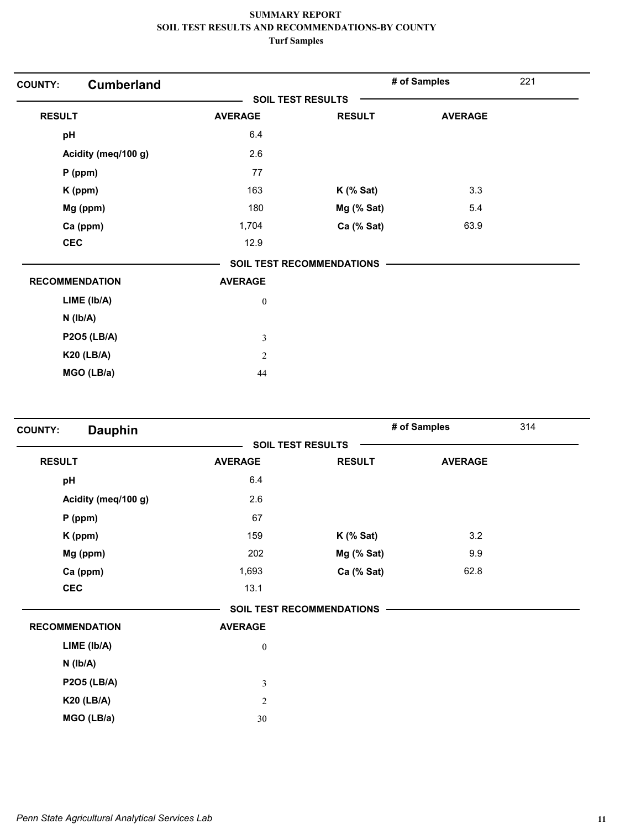| <b>Cumberland</b><br><b>COUNTY:</b> |                          |                                  | # of Samples   | 221 |
|-------------------------------------|--------------------------|----------------------------------|----------------|-----|
|                                     | <b>SOIL TEST RESULTS</b> |                                  |                |     |
| <b>RESULT</b>                       | <b>AVERAGE</b>           | <b>RESULT</b>                    | <b>AVERAGE</b> |     |
| pH                                  | 6.4                      |                                  |                |     |
| Acidity (meq/100 g)                 | 2.6                      |                                  |                |     |
| $P$ (ppm)                           | 77                       |                                  |                |     |
| K (ppm)                             | 163                      | $K$ (% Sat)                      | 3.3            |     |
| Mg (ppm)                            | 180                      | Mg (% Sat)                       | 5.4            |     |
| Ca (ppm)                            | 1,704                    | Ca (% Sat)                       | 63.9           |     |
| <b>CEC</b>                          | 12.9                     |                                  |                |     |
|                                     |                          | <b>SOIL TEST RECOMMENDATIONS</b> |                |     |
| <b>RECOMMENDATION</b>               | <b>AVERAGE</b>           |                                  |                |     |
| $LIME$ ( $lb/A$ )                   | $\boldsymbol{0}$         |                                  |                |     |
| $N$ ( $Ib/A$ )                      |                          |                                  |                |     |
| <b>P2O5 (LB/A)</b>                  | $\mathfrak{Z}$           |                                  |                |     |
| <b>K20 (LB/A)</b>                   | $\overline{2}$           |                                  |                |     |
| MGO (LB/a)                          | 44                       |                                  |                |     |

| <b>Dauphin</b><br><b>COUNTY:</b> |                  |                                  | # of Samples   | 314 |
|----------------------------------|------------------|----------------------------------|----------------|-----|
|                                  |                  | <b>SOIL TEST RESULTS</b>         |                |     |
| <b>RESULT</b>                    | <b>AVERAGE</b>   | <b>RESULT</b>                    | <b>AVERAGE</b> |     |
| pH                               | 6.4              |                                  |                |     |
| Acidity (meq/100 g)              | 2.6              |                                  |                |     |
| $P$ (ppm)                        | 67               |                                  |                |     |
| K (ppm)                          | 159              | $K$ (% Sat)                      | 3.2            |     |
| Mg (ppm)                         | 202              | Mg (% Sat)                       | 9.9            |     |
| Ca (ppm)                         | 1,693            | Ca (% Sat)                       | 62.8           |     |
| <b>CEC</b>                       | 13.1             |                                  |                |     |
|                                  |                  | <b>SOIL TEST RECOMMENDATIONS</b> |                |     |
| <b>RECOMMENDATION</b>            | <b>AVERAGE</b>   |                                  |                |     |
| LIME (Ib/A)                      | $\boldsymbol{0}$ |                                  |                |     |
| $N$ ( $Ib/A$ )                   |                  |                                  |                |     |
| <b>P2O5 (LB/A)</b>               | $\mathfrak z$    |                                  |                |     |
| <b>K20 (LB/A)</b>                | $\sqrt{2}$       |                                  |                |     |
| MGO (LB/a)                       | 30               |                                  |                |     |
|                                  |                  |                                  |                |     |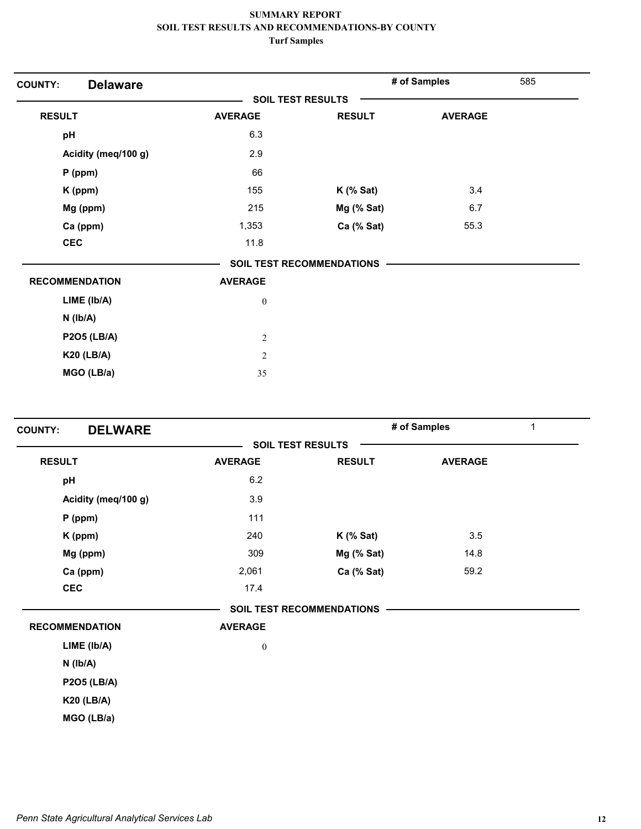| <b>Delaware</b>       |                          |                                  | # of Samples   | 585 |
|-----------------------|--------------------------|----------------------------------|----------------|-----|
|                       | <b>SOIL TEST RESULTS</b> |                                  |                |     |
| <b>RESULT</b>         | <b>AVERAGE</b>           | <b>RESULT</b>                    | <b>AVERAGE</b> |     |
| pH                    | 6.3                      |                                  |                |     |
| Acidity (meq/100 g)   | 2.9                      |                                  |                |     |
| $P$ (ppm)             | 66                       |                                  |                |     |
| K (ppm)               | 155                      | $K$ (% Sat)                      | 3.4            |     |
| Mg (ppm)              | 215                      | Mg (% Sat)                       | 6.7            |     |
| Ca (ppm)              | 1,353                    | Ca (% Sat)                       | 55.3           |     |
| <b>CEC</b>            | 11.8                     |                                  |                |     |
|                       |                          | <b>SOIL TEST RECOMMENDATIONS</b> |                |     |
| <b>RECOMMENDATION</b> | <b>AVERAGE</b>           |                                  |                |     |
| LIME (Ib/A)           | $\boldsymbol{0}$         |                                  |                |     |
| $N$ ( $lb/A$ )        |                          |                                  |                |     |
| <b>P2O5 (LB/A)</b>    | $\sqrt{2}$               |                                  |                |     |
| <b>K20 (LB/A)</b>     | $\mathfrak{2}$           |                                  |                |     |
| MGO (LB/a)            | 35                       |                                  |                |     |

| <b>DELWARE</b><br><b>COUNTY:</b> |                  |                           | # of Samples   | 1 |
|----------------------------------|------------------|---------------------------|----------------|---|
|                                  |                  | <b>SOIL TEST RESULTS</b>  |                |   |
| <b>RESULT</b>                    | <b>AVERAGE</b>   | <b>RESULT</b>             | <b>AVERAGE</b> |   |
| pH                               | 6.2              |                           |                |   |
| Acidity (meq/100 g)              | 3.9              |                           |                |   |
| $P$ (ppm)                        | 111              |                           |                |   |
| K (ppm)                          | 240              | $K$ (% Sat)               | 3.5            |   |
| Mg (ppm)                         | 309              | Mg (% Sat)                | 14.8           |   |
| Ca (ppm)                         | 2,061            | Ca (% Sat)                | 59.2           |   |
| <b>CEC</b>                       | 17.4             |                           |                |   |
|                                  |                  | SOIL TEST RECOMMENDATIONS |                |   |
| <b>RECOMMENDATION</b>            | <b>AVERAGE</b>   |                           |                |   |
| LIME (Ib/A)                      | $\boldsymbol{0}$ |                           |                |   |
| $N$ ( $Ib/A$ )                   |                  |                           |                |   |
| <b>P2O5 (LB/A)</b>               |                  |                           |                |   |
| <b>K20 (LB/A)</b>                |                  |                           |                |   |
| MGO (LB/a)                       |                  |                           |                |   |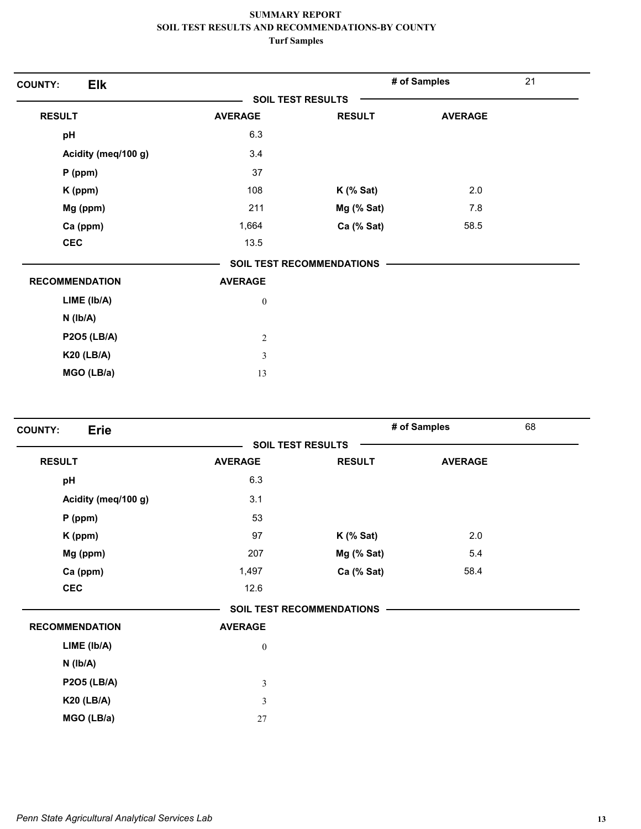| <b>Elk</b><br><b>COUNTY:</b> |                          |                           | # of Samples   | 21 |
|------------------------------|--------------------------|---------------------------|----------------|----|
|                              | <b>SOIL TEST RESULTS</b> |                           |                |    |
| <b>RESULT</b>                | <b>AVERAGE</b>           | <b>RESULT</b>             | <b>AVERAGE</b> |    |
| pH                           | 6.3                      |                           |                |    |
| Acidity (meq/100 g)          | 3.4                      |                           |                |    |
| $P$ (ppm)                    | 37                       |                           |                |    |
| K (ppm)                      | 108                      | $K$ (% Sat)               | 2.0            |    |
| Mg (ppm)                     | 211                      | Mg (% Sat)                | 7.8            |    |
| Ca (ppm)                     | 1,664                    | Ca (% Sat)                | 58.5           |    |
| <b>CEC</b>                   | 13.5                     |                           |                |    |
|                              |                          | SOIL TEST RECOMMENDATIONS |                |    |
| <b>RECOMMENDATION</b>        | <b>AVERAGE</b>           |                           |                |    |
| LIME (lb/A)                  | $\boldsymbol{0}$         |                           |                |    |
| $N$ ( $Ib/A$ )               |                          |                           |                |    |
| <b>P2O5 (LB/A)</b>           | $\boldsymbol{2}$         |                           |                |    |
| <b>K20 (LB/A)</b>            | $\mathfrak{Z}$           |                           |                |    |
| MGO (LB/a)                   | 13                       |                           |                |    |

| <b>Erie</b><br><b>COUNTY:</b> |                  |                           | # of Samples   | 68 |
|-------------------------------|------------------|---------------------------|----------------|----|
|                               |                  | <b>SOIL TEST RESULTS</b>  |                |    |
| <b>RESULT</b>                 | <b>AVERAGE</b>   | <b>RESULT</b>             | <b>AVERAGE</b> |    |
| pH                            | 6.3              |                           |                |    |
| Acidity (meq/100 g)           | 3.1              |                           |                |    |
| $P$ (ppm)                     | 53               |                           |                |    |
| K (ppm)                       | 97               | $K$ (% Sat)               | 2.0            |    |
| Mg (ppm)                      | 207              | Mg (% Sat)                | 5.4            |    |
| Ca (ppm)                      | 1,497            | Ca (% Sat)                | 58.4           |    |
| <b>CEC</b>                    | 12.6             |                           |                |    |
|                               |                  | SOIL TEST RECOMMENDATIONS |                |    |
| <b>RECOMMENDATION</b>         | <b>AVERAGE</b>   |                           |                |    |
| LIME (lb/A)                   | $\boldsymbol{0}$ |                           |                |    |
| $N$ ( $Ib/A$ )                |                  |                           |                |    |
| <b>P2O5 (LB/A)</b>            | 3                |                           |                |    |
| <b>K20 (LB/A)</b>             | 3                |                           |                |    |
| MGO (LB/a)                    | 27               |                           |                |    |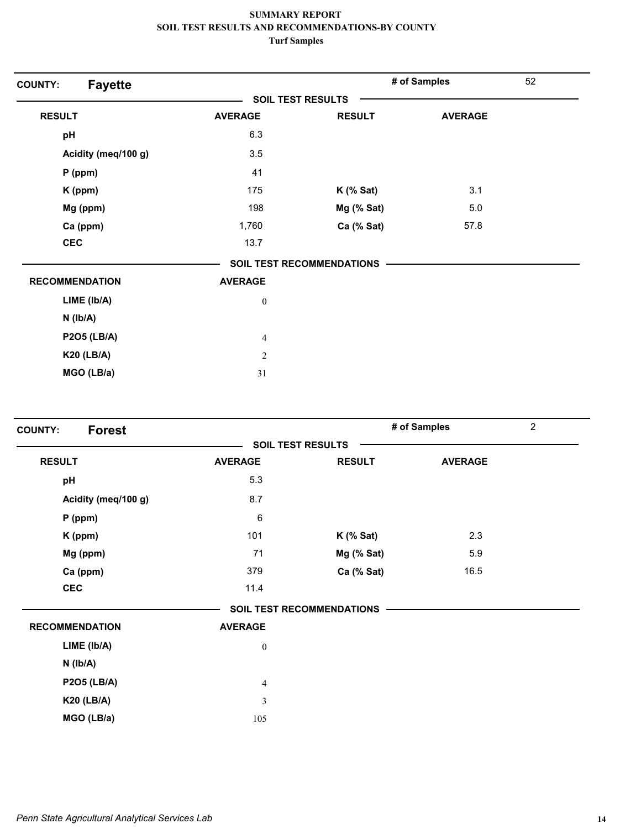| <b>Fayette</b><br><b>COUNTY:</b> |                  |                                  | # of Samples   | 52 |
|----------------------------------|------------------|----------------------------------|----------------|----|
|                                  |                  | <b>SOIL TEST RESULTS</b>         |                |    |
| <b>RESULT</b>                    | <b>AVERAGE</b>   | <b>RESULT</b>                    | <b>AVERAGE</b> |    |
| pH                               | 6.3              |                                  |                |    |
| Acidity (meq/100 g)              | 3.5              |                                  |                |    |
| P (ppm)                          | 41               |                                  |                |    |
| K (ppm)                          | 175              | $K$ (% Sat)                      | 3.1            |    |
| Mg (ppm)                         | 198              | Mg (% Sat)                       | 5.0            |    |
| Ca (ppm)                         | 1,760            | Ca (% Sat)                       | 57.8           |    |
| <b>CEC</b>                       | 13.7             |                                  |                |    |
|                                  |                  | <b>SOIL TEST RECOMMENDATIONS</b> |                |    |
| <b>RECOMMENDATION</b>            | <b>AVERAGE</b>   |                                  |                |    |
| LIME (Ib/A)                      | $\boldsymbol{0}$ |                                  |                |    |
| $N$ ( $Ib/A$ )                   |                  |                                  |                |    |
| <b>P2O5 (LB/A)</b>               | $\overline{4}$   |                                  |                |    |
| <b>K20 (LB/A)</b>                | $\mathfrak{2}$   |                                  |                |    |
| MGO (LB/a)                       | 31               |                                  |                |    |

| <b>Forest</b><br><b>COUNTY:</b> |                         |                                  | # of Samples   | $\overline{2}$ |
|---------------------------------|-------------------------|----------------------------------|----------------|----------------|
|                                 |                         | <b>SOIL TEST RESULTS</b>         |                |                |
| <b>RESULT</b>                   | <b>AVERAGE</b>          | <b>RESULT</b>                    | <b>AVERAGE</b> |                |
| pH                              | 5.3                     |                                  |                |                |
| Acidity (meq/100 g)             | 8.7                     |                                  |                |                |
| $P$ (ppm)                       | $\,6\,$                 |                                  |                |                |
| K (ppm)                         | 101                     | $K$ (% Sat)                      | 2.3            |                |
| Mg (ppm)                        | 71                      | Mg (% Sat)                       | 5.9            |                |
| Ca (ppm)                        | 379                     | Ca (% Sat)                       | 16.5           |                |
| <b>CEC</b>                      | 11.4                    |                                  |                |                |
|                                 |                         | <b>SOIL TEST RECOMMENDATIONS</b> |                |                |
| <b>RECOMMENDATION</b>           | <b>AVERAGE</b>          |                                  |                |                |
| LIME (Ib/A)                     | $\boldsymbol{0}$        |                                  |                |                |
| $N$ ( $Ib/A$ )                  |                         |                                  |                |                |
| <b>P2O5 (LB/A)</b>              | $\overline{\mathbf{4}}$ |                                  |                |                |
| <b>K20 (LB/A)</b>               | $\mathfrak{Z}$          |                                  |                |                |
| MGO (LB/a)                      | 105                     |                                  |                |                |
|                                 |                         |                                  |                |                |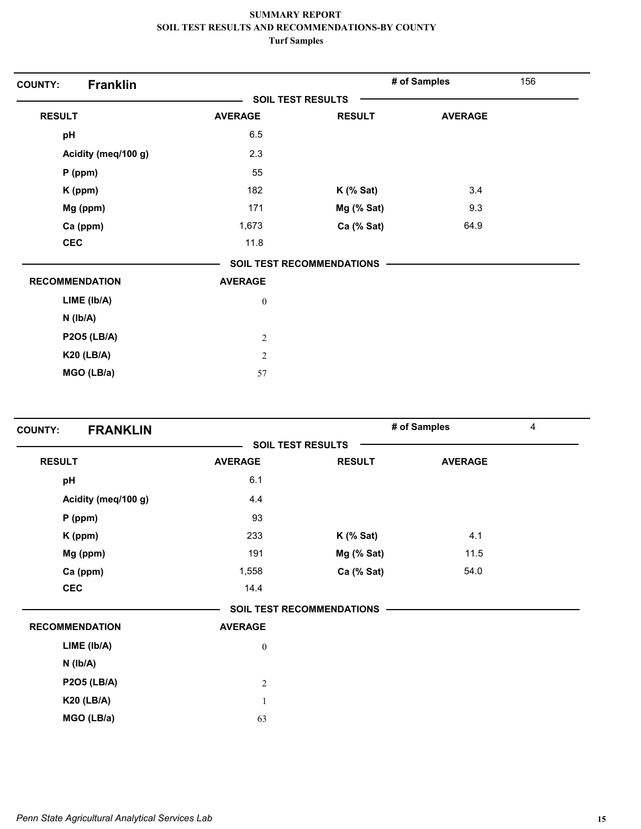| <b>Franklin</b><br><b>COUNTY:</b> |                  |                                  | # of Samples   | 156 |
|-----------------------------------|------------------|----------------------------------|----------------|-----|
|                                   |                  | <b>SOIL TEST RESULTS</b>         |                |     |
| <b>RESULT</b>                     | <b>AVERAGE</b>   | <b>RESULT</b>                    | <b>AVERAGE</b> |     |
| pH                                | 6.5              |                                  |                |     |
| Acidity (meq/100 g)               | 2.3              |                                  |                |     |
| $P$ (ppm)                         | 55               |                                  |                |     |
| K (ppm)                           | 182              | $K$ (% Sat)                      | 3.4            |     |
| Mg (ppm)                          | 171              | Mg (% Sat)                       | 9.3            |     |
| Ca (ppm)                          | 1,673            | Ca (% Sat)                       | 64.9           |     |
| <b>CEC</b>                        | 11.8             |                                  |                |     |
|                                   |                  | <b>SOIL TEST RECOMMENDATIONS</b> |                |     |
| <b>RECOMMENDATION</b>             | <b>AVERAGE</b>   |                                  |                |     |
| LIME (Ib/A)                       | $\boldsymbol{0}$ |                                  |                |     |
| $N$ ( $lb/A$ )                    |                  |                                  |                |     |
| <b>P2O5 (LB/A)</b>                | $\sqrt{2}$       |                                  |                |     |
| <b>K20 (LB/A)</b>                 | $\overline{c}$   |                                  |                |     |
| MGO (LB/a)                        | 57               |                                  |                |     |

| <b>FRANKLIN</b><br><b>COUNTY:</b> |                  |                           | # of Samples   | 4 |
|-----------------------------------|------------------|---------------------------|----------------|---|
|                                   |                  | <b>SOIL TEST RESULTS</b>  |                |   |
| <b>RESULT</b>                     | <b>AVERAGE</b>   | <b>RESULT</b>             | <b>AVERAGE</b> |   |
| pH                                | 6.1              |                           |                |   |
| Acidity (meq/100 g)               | 4.4              |                           |                |   |
| $P$ (ppm)                         | 93               |                           |                |   |
| K (ppm)                           | 233              | $K$ (% Sat)               | 4.1            |   |
| Mg (ppm)                          | 191              | Mg (% Sat)                | 11.5           |   |
| Ca (ppm)                          | 1,558            | Ca (% Sat)                | 54.0           |   |
| <b>CEC</b>                        | 14.4             |                           |                |   |
|                                   |                  | SOIL TEST RECOMMENDATIONS |                |   |
| <b>RECOMMENDATION</b>             | <b>AVERAGE</b>   |                           |                |   |
| LIME (Ib/A)                       | $\boldsymbol{0}$ |                           |                |   |
| $N$ ( $Ib/A$ )                    |                  |                           |                |   |
| <b>P2O5 (LB/A)</b>                | $\overline{c}$   |                           |                |   |
| <b>K20 (LB/A)</b>                 | $\mathbf{1}$     |                           |                |   |
| MGO (LB/a)                        | 63               |                           |                |   |
|                                   |                  |                           |                |   |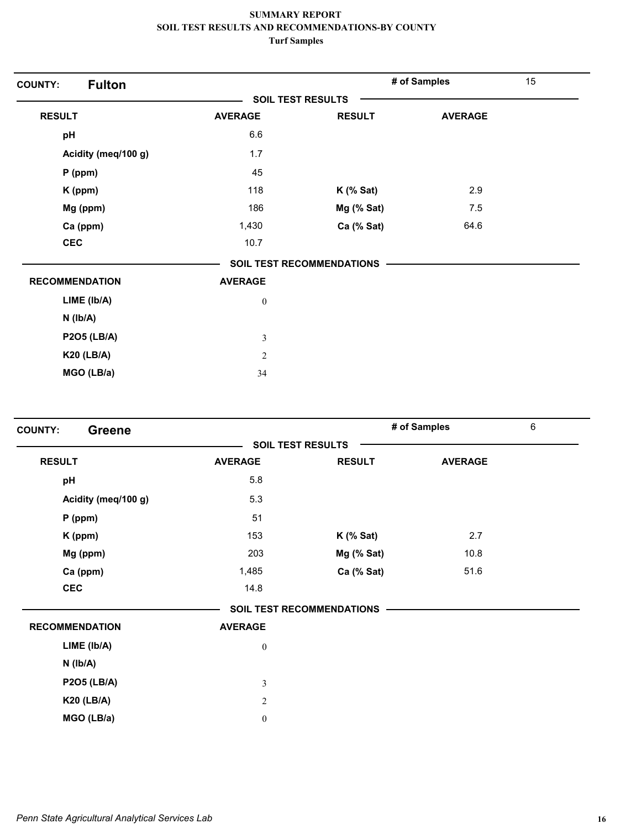| <b>Fulton</b><br><b>COUNTY:</b> |                          |                                  | # of Samples   | 15 |
|---------------------------------|--------------------------|----------------------------------|----------------|----|
|                                 | <b>SOIL TEST RESULTS</b> |                                  |                |    |
| <b>RESULT</b>                   | <b>AVERAGE</b>           | <b>RESULT</b>                    | <b>AVERAGE</b> |    |
| pH                              | 6.6                      |                                  |                |    |
| Acidity (meq/100 g)             | 1.7                      |                                  |                |    |
| $P$ (ppm)                       | 45                       |                                  |                |    |
| K (ppm)                         | 118                      | $K$ (% Sat)                      | 2.9            |    |
| Mg (ppm)                        | 186                      | Mg (% Sat)                       | 7.5            |    |
| Ca (ppm)                        | 1,430                    | Ca (% Sat)                       | 64.6           |    |
| <b>CEC</b>                      | 10.7                     |                                  |                |    |
|                                 |                          | <b>SOIL TEST RECOMMENDATIONS</b> |                |    |
| <b>RECOMMENDATION</b>           | <b>AVERAGE</b>           |                                  |                |    |
| LIME (Ib/A)                     | $\boldsymbol{0}$         |                                  |                |    |
| $N$ ( $lb/A$ )                  |                          |                                  |                |    |
| <b>P2O5 (LB/A)</b>              | $\mathfrak{Z}$           |                                  |                |    |
| <b>K20 (LB/A)</b>               | $\sqrt{2}$               |                                  |                |    |
| MGO (LB/a)                      | 34                       |                                  |                |    |

| <b>COUNTY:</b><br><b>Greene</b> |                  |                                  | # of Samples   | 6 |
|---------------------------------|------------------|----------------------------------|----------------|---|
|                                 |                  | <b>SOIL TEST RESULTS</b>         |                |   |
| <b>RESULT</b>                   | <b>AVERAGE</b>   | <b>RESULT</b>                    | <b>AVERAGE</b> |   |
| pH                              | 5.8              |                                  |                |   |
| Acidity (meq/100 g)             | 5.3              |                                  |                |   |
| $P$ (ppm)                       | 51               |                                  |                |   |
| K (ppm)                         | 153              | $K$ (% Sat)                      | 2.7            |   |
| Mg (ppm)                        | 203              | Mg (% Sat)                       | 10.8           |   |
| Ca (ppm)                        | 1,485            | Ca (% Sat)                       | 51.6           |   |
| <b>CEC</b>                      | 14.8             |                                  |                |   |
|                                 |                  | <b>SOIL TEST RECOMMENDATIONS</b> |                |   |
| <b>RECOMMENDATION</b>           | <b>AVERAGE</b>   |                                  |                |   |
| LIME (lb/A)                     | $\boldsymbol{0}$ |                                  |                |   |
| $N$ ( $Ib/A$ )                  |                  |                                  |                |   |
| <b>P2O5 (LB/A)</b>              | $\mathfrak{Z}$   |                                  |                |   |
| <b>K20 (LB/A)</b>               | $\sqrt{2}$       |                                  |                |   |
| MGO (LB/a)                      | $\boldsymbol{0}$ |                                  |                |   |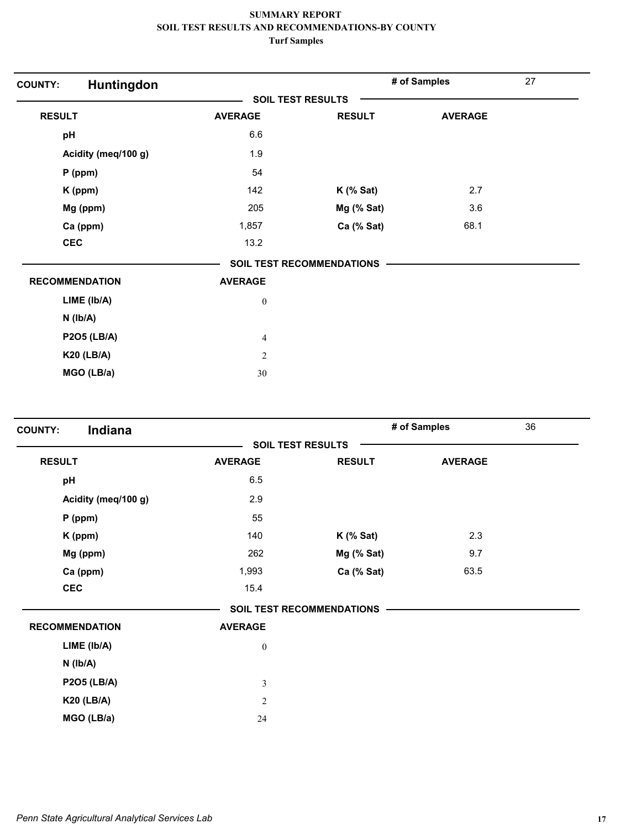| Huntingdon<br><b>COUNTY:</b> |                  |                           | # of Samples   | 27 |
|------------------------------|------------------|---------------------------|----------------|----|
|                              |                  | <b>SOIL TEST RESULTS</b>  |                |    |
| <b>RESULT</b>                | <b>AVERAGE</b>   | <b>RESULT</b>             | <b>AVERAGE</b> |    |
| pH                           | 6.6              |                           |                |    |
| Acidity (meq/100 g)          | 1.9              |                           |                |    |
| $P$ (ppm)                    | 54               |                           |                |    |
| K (ppm)                      | 142              | $K$ (% Sat)               | 2.7            |    |
| Mg (ppm)                     | 205              | Mg (% Sat)                | 3.6            |    |
| Ca (ppm)                     | 1,857            | Ca (% Sat)                | 68.1           |    |
| <b>CEC</b>                   | 13.2             |                           |                |    |
|                              |                  | SOIL TEST RECOMMENDATIONS |                |    |
| <b>RECOMMENDATION</b>        | <b>AVERAGE</b>   |                           |                |    |
| LIME (Ib/A)                  | $\boldsymbol{0}$ |                           |                |    |
| $N$ ( $Ib/A$ )               |                  |                           |                |    |
| <b>P2O5 (LB/A)</b>           | $\overline{4}$   |                           |                |    |
| <b>K20 (LB/A)</b>            | $\overline{2}$   |                           |                |    |
| MGO (LB/a)                   | 30               |                           |                |    |

| <b>SOIL TEST RESULTS</b><br><b>RESULT</b><br><b>AVERAGE</b><br><b>RESULT</b><br><b>AVERAGE</b><br>6.5<br>pH<br>2.9<br>Acidity (meq/100 g)<br>55<br>$P$ (ppm)<br>2.3<br>140<br>$K$ (% Sat)<br>K (ppm)<br>Mg (ppm)<br>262<br>Mg (% Sat)<br>9.7<br>Ca (% Sat)<br>63.5<br>Ca (ppm)<br>1,993<br><b>CEC</b><br>15.4<br><b>SOIL TEST RECOMMENDATIONS</b><br><b>RECOMMENDATION</b><br><b>AVERAGE</b><br>LIME (Ib/A)<br>$\boldsymbol{0}$<br>$N$ ( $Ib/A$ ) | Indiana<br><b>COUNTY:</b> |               | # of Samples | 36 |
|---------------------------------------------------------------------------------------------------------------------------------------------------------------------------------------------------------------------------------------------------------------------------------------------------------------------------------------------------------------------------------------------------------------------------------------------------|---------------------------|---------------|--------------|----|
|                                                                                                                                                                                                                                                                                                                                                                                                                                                   |                           |               |              |    |
|                                                                                                                                                                                                                                                                                                                                                                                                                                                   |                           |               |              |    |
|                                                                                                                                                                                                                                                                                                                                                                                                                                                   |                           |               |              |    |
|                                                                                                                                                                                                                                                                                                                                                                                                                                                   |                           |               |              |    |
|                                                                                                                                                                                                                                                                                                                                                                                                                                                   |                           |               |              |    |
|                                                                                                                                                                                                                                                                                                                                                                                                                                                   |                           |               |              |    |
|                                                                                                                                                                                                                                                                                                                                                                                                                                                   |                           |               |              |    |
|                                                                                                                                                                                                                                                                                                                                                                                                                                                   |                           |               |              |    |
|                                                                                                                                                                                                                                                                                                                                                                                                                                                   |                           |               |              |    |
|                                                                                                                                                                                                                                                                                                                                                                                                                                                   |                           |               |              |    |
|                                                                                                                                                                                                                                                                                                                                                                                                                                                   |                           |               |              |    |
|                                                                                                                                                                                                                                                                                                                                                                                                                                                   |                           |               |              |    |
|                                                                                                                                                                                                                                                                                                                                                                                                                                                   |                           |               |              |    |
|                                                                                                                                                                                                                                                                                                                                                                                                                                                   | <b>P2O5 (LB/A)</b>        | $\mathfrak z$ |              |    |
| <b>K20 (LB/A)</b><br>$\sqrt{2}$                                                                                                                                                                                                                                                                                                                                                                                                                   |                           |               |              |    |
| MGO (LB/a)<br>24                                                                                                                                                                                                                                                                                                                                                                                                                                  |                           |               |              |    |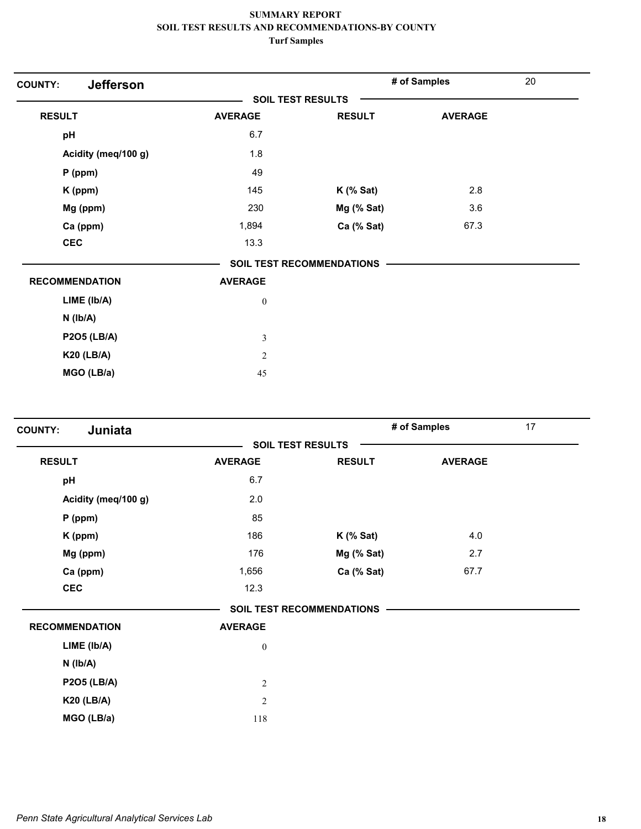| <b>Jefferson</b><br><b>COUNTY:</b> |                          |                                  | # of Samples   | 20 |
|------------------------------------|--------------------------|----------------------------------|----------------|----|
|                                    | <b>SOIL TEST RESULTS</b> |                                  |                |    |
| <b>RESULT</b>                      | <b>AVERAGE</b>           | <b>RESULT</b>                    | <b>AVERAGE</b> |    |
| pH                                 | 6.7                      |                                  |                |    |
| Acidity (meq/100 g)                | 1.8                      |                                  |                |    |
| P (ppm)                            | 49                       |                                  |                |    |
| K (ppm)                            | 145                      | $K$ (% Sat)                      | 2.8            |    |
| Mg (ppm)                           | 230                      | Mg (% Sat)                       | 3.6            |    |
| Ca (ppm)                           | 1,894                    | Ca (% Sat)                       | 67.3           |    |
| <b>CEC</b>                         | 13.3                     |                                  |                |    |
|                                    |                          | <b>SOIL TEST RECOMMENDATIONS</b> |                |    |
| <b>RECOMMENDATION</b>              | <b>AVERAGE</b>           |                                  |                |    |
| LIME (Ib/A)                        | $\boldsymbol{0}$         |                                  |                |    |
| $N$ ( $lb/A$ )                     |                          |                                  |                |    |
| <b>P2O5 (LB/A)</b>                 | $\mathfrak{Z}$           |                                  |                |    |
| <b>K20 (LB/A)</b>                  | $\mathfrak{2}$           |                                  |                |    |
| MGO (LB/a)                         | 45                       |                                  |                |    |

| Juniata<br><b>COUNTY:</b> |                  |                                  | # of Samples   | 17 |
|---------------------------|------------------|----------------------------------|----------------|----|
|                           |                  | <b>SOIL TEST RESULTS</b>         |                |    |
| <b>RESULT</b>             | <b>AVERAGE</b>   | <b>RESULT</b>                    | <b>AVERAGE</b> |    |
| pH                        | 6.7              |                                  |                |    |
| Acidity (meq/100 g)       | 2.0              |                                  |                |    |
| $P$ (ppm)                 | 85               |                                  |                |    |
| K (ppm)                   | 186              | $K$ (% Sat)                      | 4.0            |    |
| Mg (ppm)                  | 176              | Mg (% Sat)                       | 2.7            |    |
| Ca (ppm)                  | 1,656            | Ca (% Sat)                       | 67.7           |    |
| <b>CEC</b>                | 12.3             |                                  |                |    |
|                           |                  | <b>SOIL TEST RECOMMENDATIONS</b> |                |    |
| <b>RECOMMENDATION</b>     | <b>AVERAGE</b>   |                                  |                |    |
| LIME (lb/A)               | $\boldsymbol{0}$ |                                  |                |    |
| $N$ ( $Ib/A$ )            |                  |                                  |                |    |
| <b>P2O5 (LB/A)</b>        | $\sqrt{2}$       |                                  |                |    |
| <b>K20 (LB/A)</b>         | $\sqrt{2}$       |                                  |                |    |
| MGO (LB/a)                | 118              |                                  |                |    |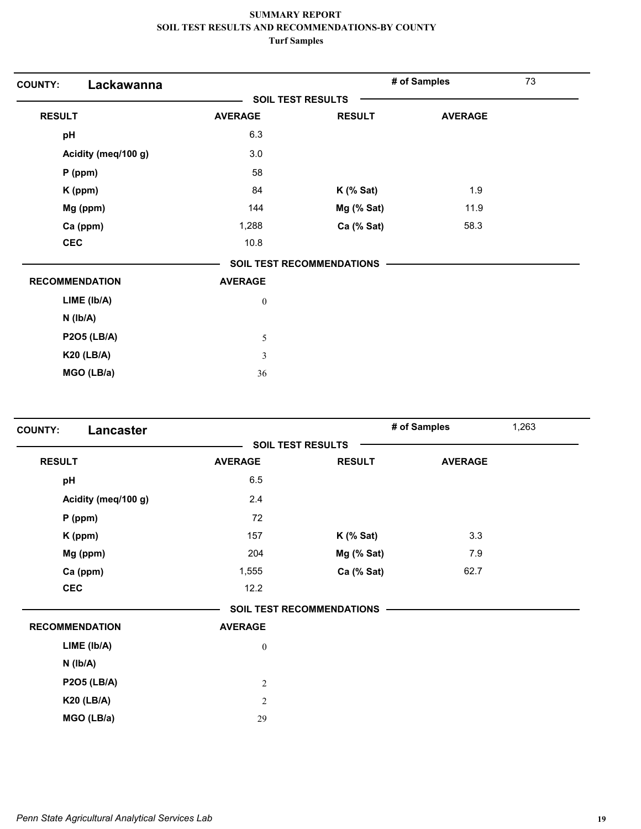| Lackawanna<br><b>COUNTY:</b> |                  |                                  | # of Samples   | 73 |
|------------------------------|------------------|----------------------------------|----------------|----|
|                              |                  | <b>SOIL TEST RESULTS</b>         |                |    |
| <b>RESULT</b>                | <b>AVERAGE</b>   | <b>RESULT</b>                    | <b>AVERAGE</b> |    |
| pH                           | 6.3              |                                  |                |    |
| Acidity (meq/100 g)          | 3.0              |                                  |                |    |
| P (ppm)                      | 58               |                                  |                |    |
| K (ppm)                      | 84               | $K$ (% Sat)                      | 1.9            |    |
| Mg (ppm)                     | 144              | Mg (% Sat)                       | 11.9           |    |
| Ca (ppm)                     | 1,288            | Ca (% Sat)                       | 58.3           |    |
| <b>CEC</b>                   | 10.8             |                                  |                |    |
|                              |                  | <b>SOIL TEST RECOMMENDATIONS</b> |                |    |
| <b>RECOMMENDATION</b>        | <b>AVERAGE</b>   |                                  |                |    |
| LIME (lb/A)                  | $\boldsymbol{0}$ |                                  |                |    |
| $N$ ( $lb/A$ )               |                  |                                  |                |    |
| <b>P2O5 (LB/A)</b>           | 5                |                                  |                |    |
| <b>K20 (LB/A)</b>            | $\mathfrak{Z}$   |                                  |                |    |
| MGO (LB/a)                   | 36               |                                  |                |    |

| Lancaster<br><b>COUNTY:</b> |                          |                                  | 1,263<br># of Samples |  |
|-----------------------------|--------------------------|----------------------------------|-----------------------|--|
|                             | <b>SOIL TEST RESULTS</b> |                                  |                       |  |
| <b>RESULT</b>               | <b>AVERAGE</b>           | <b>RESULT</b>                    | <b>AVERAGE</b>        |  |
| pH                          | 6.5                      |                                  |                       |  |
| Acidity (meq/100 g)         | 2.4                      |                                  |                       |  |
| $P$ (ppm)                   | 72                       |                                  |                       |  |
| K (ppm)                     | 157                      | $K$ (% Sat)                      | 3.3                   |  |
| Mg (ppm)                    | 204                      | Mg (% Sat)                       | 7.9                   |  |
| Ca (ppm)                    | 1,555                    | Ca (% Sat)                       | 62.7                  |  |
| <b>CEC</b>                  | 12.2                     |                                  |                       |  |
|                             |                          | <b>SOIL TEST RECOMMENDATIONS</b> |                       |  |
| <b>RECOMMENDATION</b>       | <b>AVERAGE</b>           |                                  |                       |  |
| LIME (Ib/A)                 | $\boldsymbol{0}$         |                                  |                       |  |
| $N$ ( $Ib/A$ )              |                          |                                  |                       |  |
| <b>P2O5 (LB/A)</b>          | $\sqrt{2}$               |                                  |                       |  |
| <b>K20 (LB/A)</b>           | $\sqrt{2}$               |                                  |                       |  |
| MGO (LB/a)                  | 29                       |                                  |                       |  |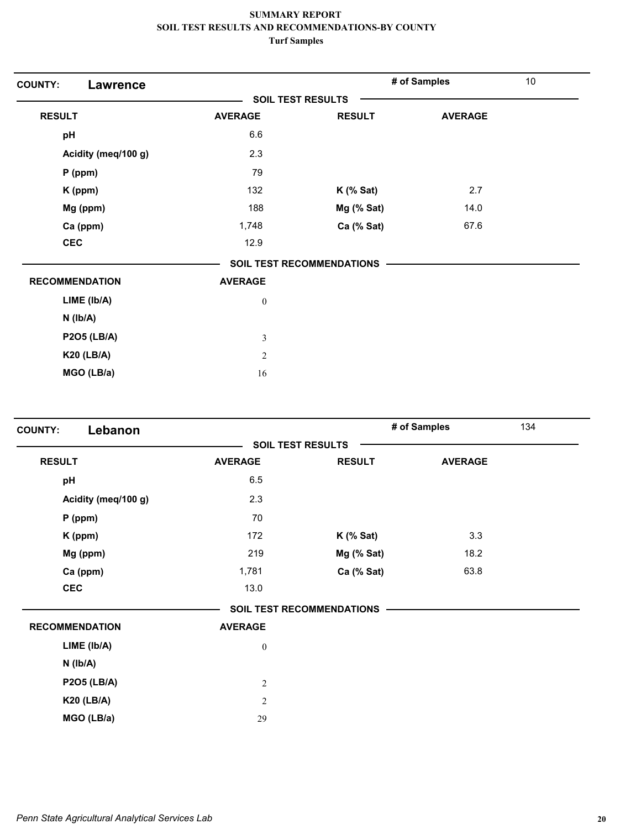| <b>COUNTY:</b><br><b>Lawrence</b> |                  |                                  | # of Samples   | 10 |
|-----------------------------------|------------------|----------------------------------|----------------|----|
|                                   |                  | <b>SOIL TEST RESULTS</b>         |                |    |
| <b>RESULT</b>                     | <b>AVERAGE</b>   | <b>RESULT</b>                    | <b>AVERAGE</b> |    |
| pH                                | 6.6              |                                  |                |    |
| Acidity (meq/100 g)               | 2.3              |                                  |                |    |
| P (ppm)                           | 79               |                                  |                |    |
| K (ppm)                           | 132              | $K$ (% Sat)                      | 2.7            |    |
| Mg (ppm)                          | 188              | Mg (% Sat)                       | 14.0           |    |
| Ca (ppm)                          | 1,748            | Ca (% Sat)                       | 67.6           |    |
| <b>CEC</b>                        | 12.9             |                                  |                |    |
|                                   |                  | <b>SOIL TEST RECOMMENDATIONS</b> |                |    |
| <b>RECOMMENDATION</b>             | <b>AVERAGE</b>   |                                  |                |    |
| LIME (Ib/A)                       | $\boldsymbol{0}$ |                                  |                |    |
| $N$ ( $lb/A$ )                    |                  |                                  |                |    |
| <b>P2O5 (LB/A)</b>                | $\sqrt{3}$       |                                  |                |    |
| <b>K20 (LB/A)</b>                 | $\mathfrak{2}$   |                                  |                |    |
| MGO (LB/a)                        | 16               |                                  |                |    |

| Lebanon<br><b>COUNTY:</b> |                  |                                  | # of Samples<br>134 |  |
|---------------------------|------------------|----------------------------------|---------------------|--|
|                           |                  | <b>SOIL TEST RESULTS</b>         |                     |  |
| <b>RESULT</b>             | <b>AVERAGE</b>   | <b>RESULT</b>                    | <b>AVERAGE</b>      |  |
| pH                        | 6.5              |                                  |                     |  |
| Acidity (meq/100 g)       | 2.3              |                                  |                     |  |
| $P$ (ppm)                 | 70               |                                  |                     |  |
| K (ppm)                   | 172              | $K$ (% Sat)                      | 3.3                 |  |
| Mg (ppm)                  | 219              | Mg (% Sat)                       | 18.2                |  |
| Ca (ppm)                  | 1,781            | Ca (% Sat)                       | 63.8                |  |
| <b>CEC</b>                | 13.0             |                                  |                     |  |
|                           |                  | <b>SOIL TEST RECOMMENDATIONS</b> |                     |  |
| <b>RECOMMENDATION</b>     | <b>AVERAGE</b>   |                                  |                     |  |
| LIME (Ib/A)               | $\boldsymbol{0}$ |                                  |                     |  |
| $N$ ( $Ib/A$ )            |                  |                                  |                     |  |
| <b>P2O5 (LB/A)</b>        | $\sqrt{2}$       |                                  |                     |  |
| <b>K20 (LB/A)</b>         | $\overline{2}$   |                                  |                     |  |
| MGO (LB/a)                | 29               |                                  |                     |  |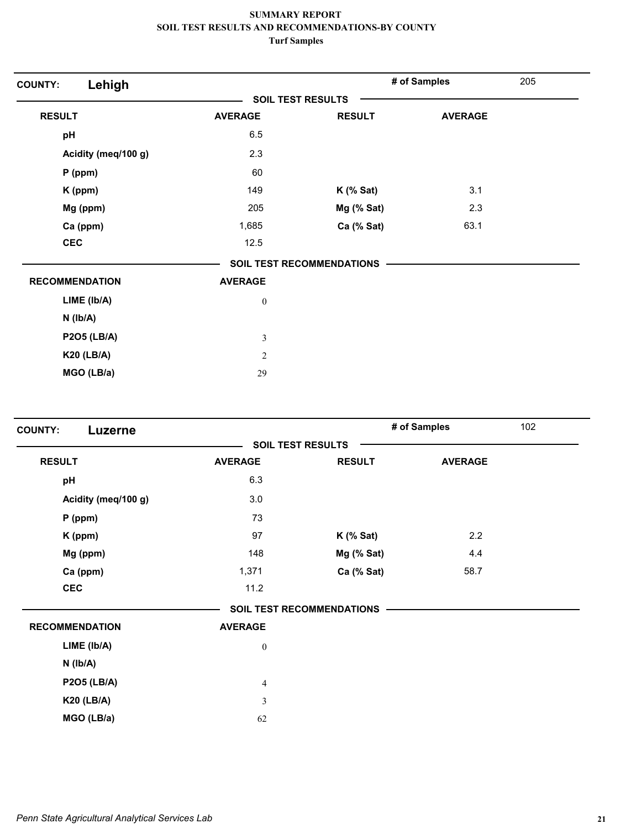| Lehigh<br><b>COUNTY:</b> |                          |                                  | # of Samples   | 205 |
|--------------------------|--------------------------|----------------------------------|----------------|-----|
|                          | <b>SOIL TEST RESULTS</b> |                                  |                |     |
| <b>RESULT</b>            | <b>AVERAGE</b>           | <b>RESULT</b>                    | <b>AVERAGE</b> |     |
| pH                       | 6.5                      |                                  |                |     |
| Acidity (meq/100 g)      | 2.3                      |                                  |                |     |
| $P$ (ppm)                | 60                       |                                  |                |     |
| K (ppm)                  | 149                      | $K$ (% Sat)                      | 3.1            |     |
| Mg (ppm)                 | 205                      | Mg (% Sat)                       | 2.3            |     |
| Ca (ppm)                 | 1,685                    | Ca (% Sat)                       | 63.1           |     |
| <b>CEC</b>               | 12.5                     |                                  |                |     |
|                          |                          | <b>SOIL TEST RECOMMENDATIONS</b> |                |     |
| <b>RECOMMENDATION</b>    | <b>AVERAGE</b>           |                                  |                |     |
| LIME (Ib/A)              | $\boldsymbol{0}$         |                                  |                |     |
| $N$ ( $lb/A$ )           |                          |                                  |                |     |
| <b>P2O5 (LB/A)</b>       | $\mathfrak{Z}$           |                                  |                |     |
| <b>K20 (LB/A)</b>        | $\mathfrak{2}$           |                                  |                |     |
| MGO (LB/a)               | 29                       |                                  |                |     |

| <b>COUNTY:</b><br>Luzerne |                  |                                  | # of Samples   | 102 |
|---------------------------|------------------|----------------------------------|----------------|-----|
|                           |                  | <b>SOIL TEST RESULTS</b>         |                |     |
| <b>RESULT</b>             | <b>AVERAGE</b>   | <b>RESULT</b>                    | <b>AVERAGE</b> |     |
| pH                        | 6.3              |                                  |                |     |
| Acidity (meq/100 g)       | 3.0              |                                  |                |     |
| $P$ (ppm)                 | 73               |                                  |                |     |
| K (ppm)                   | 97               | $K$ (% Sat)                      | 2.2            |     |
| Mg (ppm)                  | 148              | Mg (% Sat)                       | 4.4            |     |
| Ca (ppm)                  | 1,371            | Ca (% Sat)                       | 58.7           |     |
| <b>CEC</b>                | 11.2             |                                  |                |     |
|                           |                  | <b>SOIL TEST RECOMMENDATIONS</b> |                |     |
| <b>RECOMMENDATION</b>     | <b>AVERAGE</b>   |                                  |                |     |
| LIME (Ib/A)               | $\boldsymbol{0}$ |                                  |                |     |
| $N$ ( $Ib/A$ )            |                  |                                  |                |     |
| <b>P2O5 (LB/A)</b>        | $\overline{4}$   |                                  |                |     |
| <b>K20 (LB/A)</b>         | $\mathfrak{Z}$   |                                  |                |     |
| MGO (LB/a)                | 62               |                                  |                |     |
|                           |                  |                                  |                |     |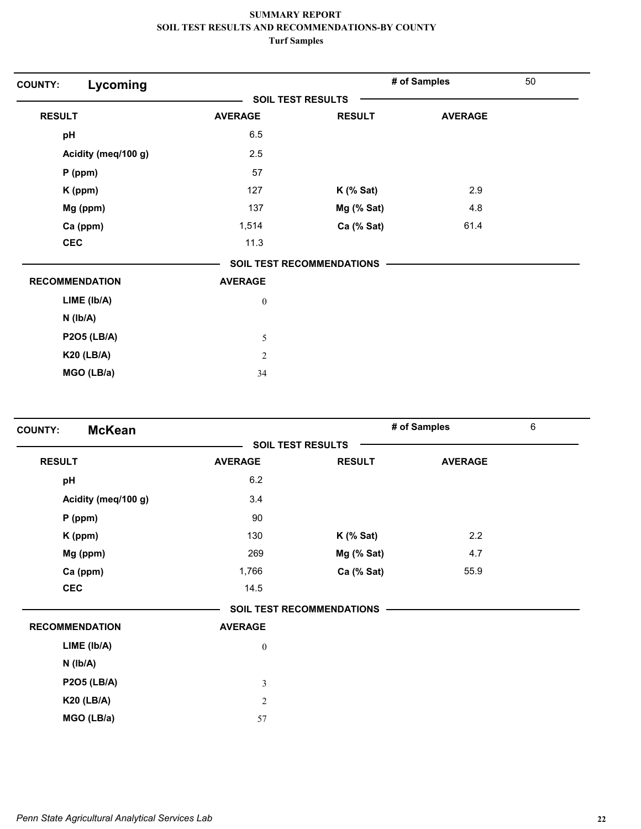| Lycoming<br><b>SOIL TEST RESULTS</b><br><b>RESULT</b><br><b>AVERAGE</b><br><b>RESULT</b><br><b>AVERAGE</b><br>6.5<br>pH<br>Acidity (meq/100 g)<br>2.5<br>57<br>P (ppm) |  |
|------------------------------------------------------------------------------------------------------------------------------------------------------------------------|--|
|                                                                                                                                                                        |  |
|                                                                                                                                                                        |  |
|                                                                                                                                                                        |  |
|                                                                                                                                                                        |  |
|                                                                                                                                                                        |  |
| 127<br>2.9<br>$K$ (% Sat)<br>K (ppm)                                                                                                                                   |  |
| 137<br>Mg (% Sat)<br>4.8<br>Mg (ppm)                                                                                                                                   |  |
| Ca (ppm)<br>Ca (% Sat)<br>61.4<br>1,514                                                                                                                                |  |
| <b>CEC</b><br>11.3                                                                                                                                                     |  |
| <b>SOIL TEST RECOMMENDATIONS</b>                                                                                                                                       |  |
| <b>RECOMMENDATION</b><br><b>AVERAGE</b>                                                                                                                                |  |
| LIME (lb/A)<br>$\boldsymbol{0}$                                                                                                                                        |  |
| $N$ ( $lb/A$ )                                                                                                                                                         |  |
| <b>P2O5 (LB/A)</b><br>5                                                                                                                                                |  |
| <b>K20 (LB/A)</b><br>$\mathfrak{2}$                                                                                                                                    |  |
| MGO (LB/a)<br>34                                                                                                                                                       |  |

| <b>McKean</b><br><b>COUNTY:</b> |                  |                           | # of Samples   | 6 |
|---------------------------------|------------------|---------------------------|----------------|---|
|                                 |                  | <b>SOIL TEST RESULTS</b>  |                |   |
| <b>RESULT</b>                   | <b>AVERAGE</b>   | <b>RESULT</b>             | <b>AVERAGE</b> |   |
| pH                              | 6.2              |                           |                |   |
| Acidity (meq/100 g)             | 3.4              |                           |                |   |
| $P$ (ppm)                       | 90               |                           |                |   |
| K (ppm)                         | 130              | $K$ (% Sat)               | 2.2            |   |
| Mg (ppm)                        | 269              | Mg (% Sat)                | 4.7            |   |
| Ca (ppm)                        | 1,766            | Ca (% Sat)                | 55.9           |   |
| <b>CEC</b>                      | 14.5             |                           |                |   |
|                                 |                  | SOIL TEST RECOMMENDATIONS |                |   |
| <b>RECOMMENDATION</b>           | <b>AVERAGE</b>   |                           |                |   |
| LIME (lb/A)                     | $\boldsymbol{0}$ |                           |                |   |
| $N$ ( $Ib/A$ )                  |                  |                           |                |   |
| <b>P2O5 (LB/A)</b>              | $\mathfrak{Z}$   |                           |                |   |
| <b>K20 (LB/A)</b>               | $\sqrt{2}$       |                           |                |   |
| MGO (LB/a)                      | 57               |                           |                |   |
|                                 |                  |                           |                |   |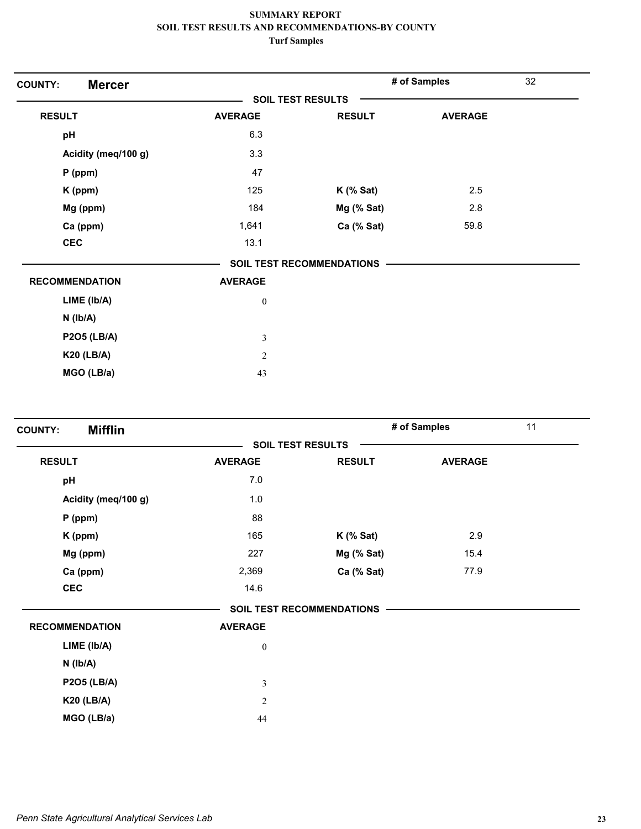| <b>Mercer</b><br><b>COUNTY:</b> |                          |                                  | # of Samples   | 32 |
|---------------------------------|--------------------------|----------------------------------|----------------|----|
|                                 | <b>SOIL TEST RESULTS</b> |                                  |                |    |
| <b>RESULT</b>                   | <b>AVERAGE</b>           | <b>RESULT</b>                    | <b>AVERAGE</b> |    |
| pH                              | 6.3                      |                                  |                |    |
| Acidity (meq/100 g)             | 3.3                      |                                  |                |    |
| $P$ (ppm)                       | 47                       |                                  |                |    |
| K (ppm)                         | 125                      | $K$ (% Sat)                      | 2.5            |    |
| Mg (ppm)                        | 184                      | Mg (% Sat)                       | 2.8            |    |
| Ca (ppm)                        | 1,641                    | Ca (% Sat)                       | 59.8           |    |
| <b>CEC</b>                      | 13.1                     |                                  |                |    |
|                                 |                          | <b>SOIL TEST RECOMMENDATIONS</b> |                |    |
| <b>RECOMMENDATION</b>           | <b>AVERAGE</b>           |                                  |                |    |
| LIME (Ib/A)                     | $\boldsymbol{0}$         |                                  |                |    |
| $N$ ( $lb/A$ )                  |                          |                                  |                |    |
| <b>P2O5 (LB/A)</b>              | $\mathfrak{Z}$           |                                  |                |    |
| <b>K20 (LB/A)</b>               | $\sqrt{2}$               |                                  |                |    |
| MGO (LB/a)                      | 43                       |                                  |                |    |

| <b>Mifflin</b><br><b>COUNTY:</b> |                  |                                  | # of Samples   | 11 |
|----------------------------------|------------------|----------------------------------|----------------|----|
|                                  |                  | <b>SOIL TEST RESULTS</b>         |                |    |
| <b>RESULT</b>                    | <b>AVERAGE</b>   | <b>RESULT</b>                    | <b>AVERAGE</b> |    |
| pH                               | 7.0              |                                  |                |    |
| Acidity (meq/100 g)              | 1.0              |                                  |                |    |
| $P$ (ppm)                        | 88               |                                  |                |    |
| K (ppm)                          | 165              | $K$ (% Sat)                      | 2.9            |    |
| Mg (ppm)                         | 227              | Mg (% Sat)                       | 15.4           |    |
| Ca (ppm)                         | 2,369            | Ca (% Sat)                       | 77.9           |    |
| <b>CEC</b>                       | 14.6             |                                  |                |    |
|                                  |                  | <b>SOIL TEST RECOMMENDATIONS</b> |                |    |
| <b>RECOMMENDATION</b>            | <b>AVERAGE</b>   |                                  |                |    |
| LIME (Ib/A)                      | $\boldsymbol{0}$ |                                  |                |    |
| $N$ ( $Ib/A$ )                   |                  |                                  |                |    |
| <b>P2O5 (LB/A)</b>               | $\mathfrak{Z}$   |                                  |                |    |
| <b>K20 (LB/A)</b>                | $\overline{c}$   |                                  |                |    |
| MGO (LB/a)                       | 44               |                                  |                |    |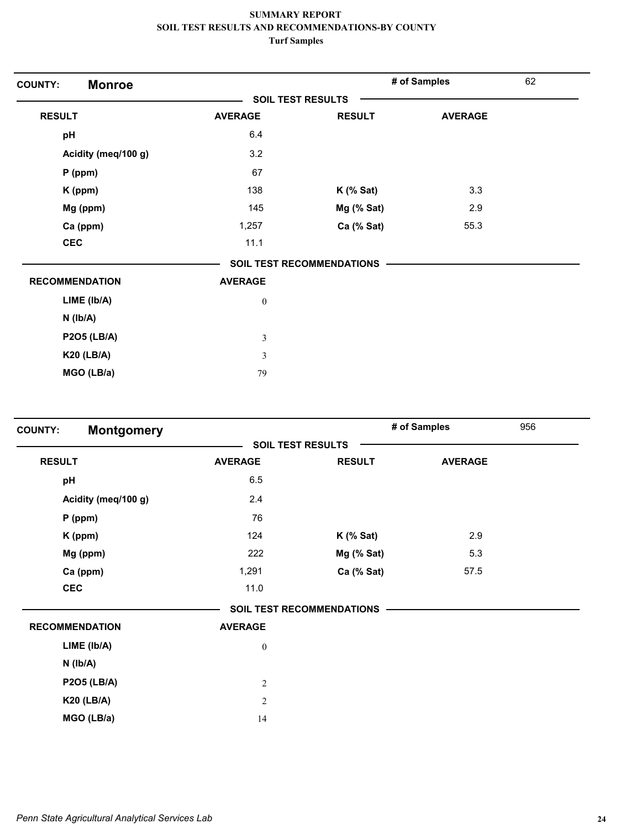| <b>COUNTY:</b><br><b>Monroe</b> |                  |                           | # of Samples   | 62 |
|---------------------------------|------------------|---------------------------|----------------|----|
|                                 |                  | <b>SOIL TEST RESULTS</b>  |                |    |
| <b>RESULT</b>                   | <b>AVERAGE</b>   | <b>RESULT</b>             | <b>AVERAGE</b> |    |
| pH                              | 6.4              |                           |                |    |
| Acidity (meq/100 g)             | 3.2              |                           |                |    |
| $P$ (ppm)                       | 67               |                           |                |    |
| K (ppm)                         | 138              | $K$ (% Sat)               | 3.3            |    |
| Mg (ppm)                        | 145              | Mg (% Sat)                | 2.9            |    |
| Ca (ppm)                        | 1,257            | Ca (% Sat)                | 55.3           |    |
| <b>CEC</b>                      | 11.1             |                           |                |    |
|                                 |                  | SOIL TEST RECOMMENDATIONS |                |    |
| <b>RECOMMENDATION</b>           | <b>AVERAGE</b>   |                           |                |    |
| LIME (Ib/A)                     | $\boldsymbol{0}$ |                           |                |    |
| $N$ ( $lb/A$ )                  |                  |                           |                |    |
| <b>P2O5 (LB/A)</b>              | $\mathfrak{Z}$   |                           |                |    |
| <b>K20 (LB/A)</b>               | 3                |                           |                |    |
| MGO (LB/a)                      | 79               |                           |                |    |

| <b>Montgomery</b><br><b>COUNTY:</b> |                          |                           | # of Samples   | 956 |
|-------------------------------------|--------------------------|---------------------------|----------------|-----|
|                                     | <b>SOIL TEST RESULTS</b> |                           |                |     |
| <b>RESULT</b>                       | <b>AVERAGE</b>           | <b>RESULT</b>             | <b>AVERAGE</b> |     |
| pH                                  | 6.5                      |                           |                |     |
| Acidity (meq/100 g)                 | 2.4                      |                           |                |     |
| $P$ (ppm)                           | 76                       |                           |                |     |
| K (ppm)                             | 124                      | $K$ (% Sat)               | 2.9            |     |
| Mg (ppm)                            | 222                      | Mg (% Sat)                | 5.3            |     |
| Ca (ppm)                            | 1,291                    | Ca (% Sat)                | 57.5           |     |
| <b>CEC</b>                          | 11.0                     |                           |                |     |
|                                     |                          | SOIL TEST RECOMMENDATIONS |                |     |
| <b>RECOMMENDATION</b>               | <b>AVERAGE</b>           |                           |                |     |
| LIME (lb/A)                         | $\boldsymbol{0}$         |                           |                |     |
| $N$ ( $Ib/A$ )                      |                          |                           |                |     |
| <b>P2O5 (LB/A)</b>                  | $\sqrt{2}$               |                           |                |     |
| <b>K20 (LB/A)</b>                   | $\overline{2}$           |                           |                |     |
| MGO (LB/a)                          | 14                       |                           |                |     |
|                                     |                          |                           |                |     |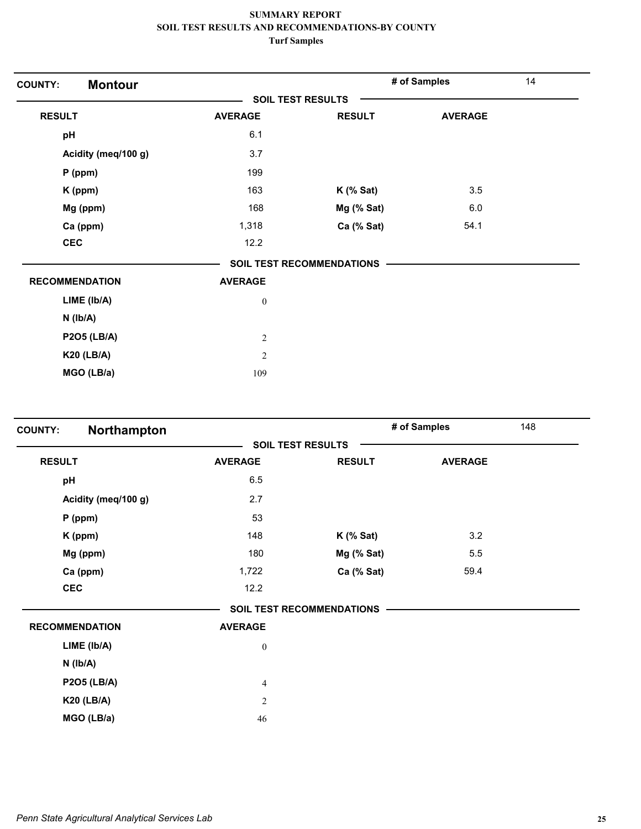| <b>Montour</b><br><b>COUNTY:</b> |                  |                                  | # of Samples   | 14 |
|----------------------------------|------------------|----------------------------------|----------------|----|
|                                  |                  | <b>SOIL TEST RESULTS</b>         |                |    |
| <b>RESULT</b>                    | <b>AVERAGE</b>   | <b>RESULT</b>                    | <b>AVERAGE</b> |    |
| pH                               | 6.1              |                                  |                |    |
| Acidity (meq/100 g)              | 3.7              |                                  |                |    |
| $P$ (ppm)                        | 199              |                                  |                |    |
| K (ppm)                          | 163              | $K$ (% Sat)                      | 3.5            |    |
| Mg (ppm)                         | 168              | Mg (% Sat)                       | 6.0            |    |
| Ca (ppm)                         | 1,318            | Ca (% Sat)                       | 54.1           |    |
| <b>CEC</b>                       | 12.2             |                                  |                |    |
|                                  |                  | <b>SOIL TEST RECOMMENDATIONS</b> |                |    |
| <b>RECOMMENDATION</b>            | <b>AVERAGE</b>   |                                  |                |    |
| LIME (lb/A)                      | $\boldsymbol{0}$ |                                  |                |    |
| $N$ ( $lb/A$ )                   |                  |                                  |                |    |
| <b>P2O5 (LB/A)</b>               | $\overline{2}$   |                                  |                |    |
| <b>K20 (LB/A)</b>                | $\overline{2}$   |                                  |                |    |
| MGO (LB/a)                       | 109              |                                  |                |    |

| Northampton<br><b>COUNTY:</b> |                  |                           | # of Samples   | 148 |
|-------------------------------|------------------|---------------------------|----------------|-----|
|                               |                  | <b>SOIL TEST RESULTS</b>  |                |     |
| <b>RESULT</b>                 | <b>AVERAGE</b>   | <b>RESULT</b>             | <b>AVERAGE</b> |     |
| pH                            | 6.5              |                           |                |     |
| Acidity (meq/100 g)           | 2.7              |                           |                |     |
| $P$ (ppm)                     | 53               |                           |                |     |
| K (ppm)                       | 148              | $K$ (% Sat)               | 3.2            |     |
| Mg (ppm)                      | 180              | Mg (% Sat)                | 5.5            |     |
| Ca (ppm)                      | 1,722            | Ca (% Sat)                | 59.4           |     |
| <b>CEC</b>                    | 12.2             |                           |                |     |
|                               |                  | SOIL TEST RECOMMENDATIONS |                |     |
| <b>RECOMMENDATION</b>         | <b>AVERAGE</b>   |                           |                |     |
| LIME (lb/A)                   | $\boldsymbol{0}$ |                           |                |     |
| $N$ ( $lb/A$ )                |                  |                           |                |     |
| <b>P2O5 (LB/A)</b>            | $\overline{4}$   |                           |                |     |
| <b>K20 (LB/A)</b>             | $\mathfrak{2}$   |                           |                |     |
| MGO (LB/a)                    | 46               |                           |                |     |
|                               |                  |                           |                |     |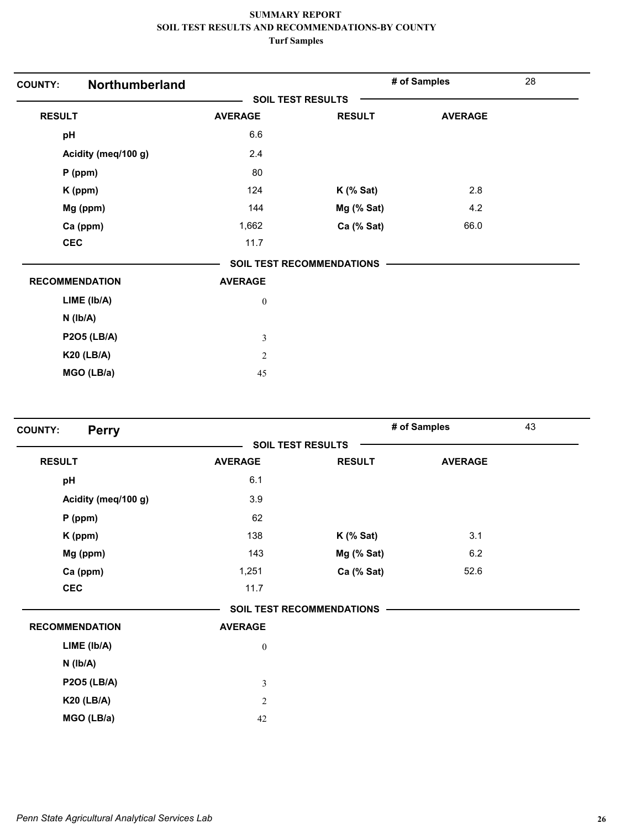| Northumberland<br><b>COUNTY:</b> |                          |                                  | # of Samples   | 28 |
|----------------------------------|--------------------------|----------------------------------|----------------|----|
|                                  | <b>SOIL TEST RESULTS</b> |                                  |                |    |
| <b>RESULT</b>                    | <b>AVERAGE</b>           | <b>RESULT</b>                    | <b>AVERAGE</b> |    |
| pH                               | 6.6                      |                                  |                |    |
| Acidity (meq/100 g)              | 2.4                      |                                  |                |    |
| $P$ (ppm)                        | 80                       |                                  |                |    |
| K (ppm)                          | 124                      | $K$ (% Sat)                      | 2.8            |    |
| Mg (ppm)                         | 144                      | Mg (% Sat)                       | 4.2            |    |
| Ca (ppm)                         | 1,662                    | Ca (% Sat)                       | 66.0           |    |
| <b>CEC</b>                       | 11.7                     |                                  |                |    |
|                                  |                          | <b>SOIL TEST RECOMMENDATIONS</b> |                |    |
| <b>RECOMMENDATION</b>            | <b>AVERAGE</b>           |                                  |                |    |
| LIME (Ib/A)                      | $\boldsymbol{0}$         |                                  |                |    |
| $N$ ( $lb/A$ )                   |                          |                                  |                |    |
| <b>P2O5 (LB/A)</b>               | $\mathfrak{Z}$           |                                  |                |    |
| <b>K20 (LB/A)</b>                | $\overline{2}$           |                                  |                |    |
| MGO (LB/a)                       | 45                       |                                  |                |    |

| <b>SOIL TEST RESULTS</b><br><b>RESULT</b><br><b>AVERAGE</b><br><b>RESULT</b><br><b>AVERAGE</b><br>6.1<br>pH<br>Acidity (meq/100 g)<br>3.9<br>62<br>$P$ (ppm)<br>138<br>3.1<br>K (ppm)<br>$K$ (% Sat)<br>143<br>6.2<br>Mg (ppm)<br>Mg (% Sat)<br>Ca (ppm)<br>1,251<br>Ca (% Sat)<br>52.6<br><b>CEC</b><br>11.7<br><b>SOIL TEST RECOMMENDATIONS</b><br><b>RECOMMENDATION</b><br><b>AVERAGE</b><br>LIME (Ib/A)<br>$\boldsymbol{0}$<br>$N$ ( $Ib/A$ )<br><b>P2O5 (LB/A)</b><br>$\mathfrak{Z}$<br><b>K20 (LB/A)</b><br>$\overline{2}$ | <b>Perry</b><br><b>COUNTY:</b> |    | # of Samples | 43 |
|----------------------------------------------------------------------------------------------------------------------------------------------------------------------------------------------------------------------------------------------------------------------------------------------------------------------------------------------------------------------------------------------------------------------------------------------------------------------------------------------------------------------------------|--------------------------------|----|--------------|----|
|                                                                                                                                                                                                                                                                                                                                                                                                                                                                                                                                  |                                |    |              |    |
|                                                                                                                                                                                                                                                                                                                                                                                                                                                                                                                                  |                                |    |              |    |
|                                                                                                                                                                                                                                                                                                                                                                                                                                                                                                                                  |                                |    |              |    |
|                                                                                                                                                                                                                                                                                                                                                                                                                                                                                                                                  |                                |    |              |    |
|                                                                                                                                                                                                                                                                                                                                                                                                                                                                                                                                  |                                |    |              |    |
|                                                                                                                                                                                                                                                                                                                                                                                                                                                                                                                                  |                                |    |              |    |
|                                                                                                                                                                                                                                                                                                                                                                                                                                                                                                                                  |                                |    |              |    |
|                                                                                                                                                                                                                                                                                                                                                                                                                                                                                                                                  |                                |    |              |    |
|                                                                                                                                                                                                                                                                                                                                                                                                                                                                                                                                  |                                |    |              |    |
|                                                                                                                                                                                                                                                                                                                                                                                                                                                                                                                                  |                                |    |              |    |
|                                                                                                                                                                                                                                                                                                                                                                                                                                                                                                                                  |                                |    |              |    |
|                                                                                                                                                                                                                                                                                                                                                                                                                                                                                                                                  |                                |    |              |    |
|                                                                                                                                                                                                                                                                                                                                                                                                                                                                                                                                  |                                |    |              |    |
|                                                                                                                                                                                                                                                                                                                                                                                                                                                                                                                                  |                                |    |              |    |
|                                                                                                                                                                                                                                                                                                                                                                                                                                                                                                                                  |                                |    |              |    |
|                                                                                                                                                                                                                                                                                                                                                                                                                                                                                                                                  | MGO (LB/a)                     | 42 |              |    |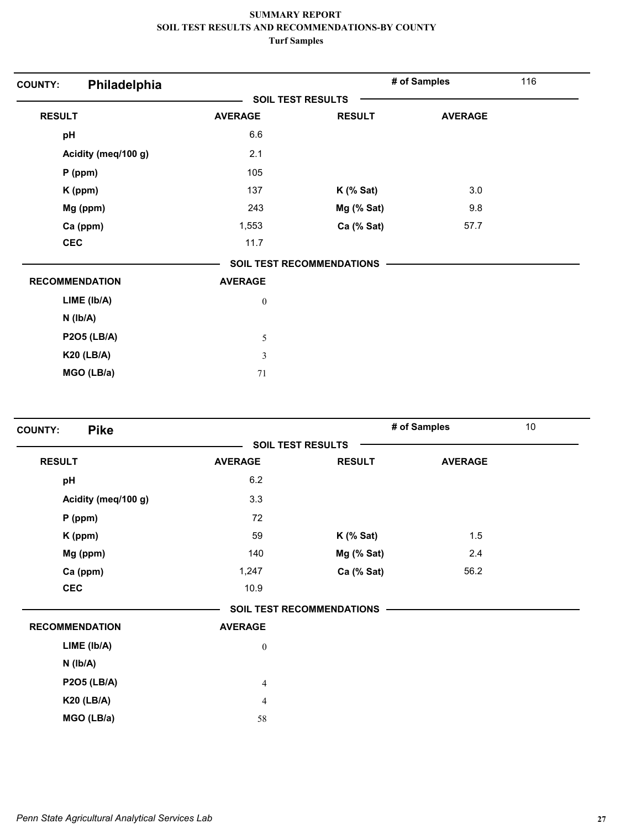| Philadelphia<br><b>COUNTY:</b> |                          |                                  | # of Samples   | 116 |
|--------------------------------|--------------------------|----------------------------------|----------------|-----|
|                                | <b>SOIL TEST RESULTS</b> |                                  |                |     |
| <b>RESULT</b>                  | <b>AVERAGE</b>           | <b>RESULT</b>                    | <b>AVERAGE</b> |     |
| pH                             | 6.6                      |                                  |                |     |
| Acidity (meq/100 g)            | 2.1                      |                                  |                |     |
| $P$ (ppm)                      | 105                      |                                  |                |     |
| K (ppm)                        | 137                      | $K$ (% Sat)                      | 3.0            |     |
| Mg (ppm)                       | 243                      | Mg (% Sat)                       | 9.8            |     |
| Ca (ppm)                       | 1,553                    | Ca (% Sat)                       | 57.7           |     |
| <b>CEC</b>                     | 11.7                     |                                  |                |     |
|                                |                          | <b>SOIL TEST RECOMMENDATIONS</b> |                |     |
| <b>RECOMMENDATION</b>          | <b>AVERAGE</b>           |                                  |                |     |
| LIME (Ib/A)                    | $\boldsymbol{0}$         |                                  |                |     |
| $N$ ( $lb/A$ )                 |                          |                                  |                |     |
| <b>P2O5 (LB/A)</b>             | 5                        |                                  |                |     |
| <b>K20 (LB/A)</b>              | $\mathfrak{Z}$           |                                  |                |     |
| MGO (LB/a)                     | 71                       |                                  |                |     |

| <b>Pike</b><br><b>COUNTY:</b> |                          |                                  | # of Samples   | 10 |
|-------------------------------|--------------------------|----------------------------------|----------------|----|
|                               | <b>SOIL TEST RESULTS</b> |                                  |                |    |
| <b>RESULT</b>                 | <b>AVERAGE</b>           | <b>RESULT</b>                    | <b>AVERAGE</b> |    |
| pH                            | 6.2                      |                                  |                |    |
| Acidity (meq/100 g)           | 3.3                      |                                  |                |    |
| $P$ (ppm)                     | 72                       |                                  |                |    |
| K (ppm)                       | 59                       | $K$ (% Sat)                      | 1.5            |    |
| Mg (ppm)                      | 140                      | Mg (% Sat)                       | 2.4            |    |
| Ca (ppm)                      | 1,247                    | Ca (% Sat)                       | 56.2           |    |
| <b>CEC</b>                    | 10.9                     |                                  |                |    |
|                               |                          | <b>SOIL TEST RECOMMENDATIONS</b> |                |    |
| <b>RECOMMENDATION</b>         | <b>AVERAGE</b>           |                                  |                |    |
| LIME (Ib/A)                   | $\boldsymbol{0}$         |                                  |                |    |
| $N$ ( $lb/A$ )                |                          |                                  |                |    |
| <b>P2O5 (LB/A)</b>            | $\overline{4}$           |                                  |                |    |
| <b>K20 (LB/A)</b>             | $\overline{4}$           |                                  |                |    |
| MGO (LB/a)                    | 58                       |                                  |                |    |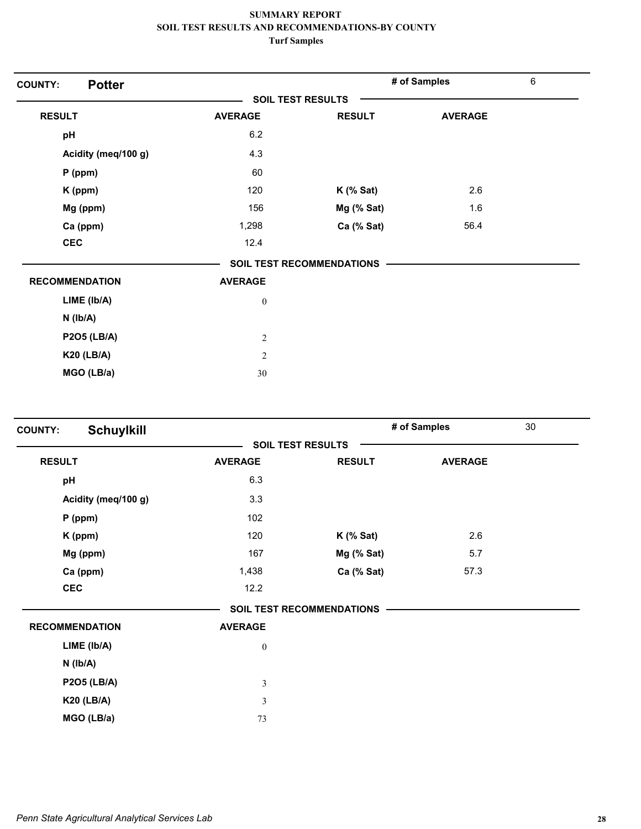| <b>Potter</b><br><b>COUNTY:</b> |                          |                                  | # of Samples   | $\,6\,$ |
|---------------------------------|--------------------------|----------------------------------|----------------|---------|
|                                 | <b>SOIL TEST RESULTS</b> |                                  |                |         |
| <b>RESULT</b>                   | <b>AVERAGE</b>           | <b>RESULT</b>                    | <b>AVERAGE</b> |         |
| pH                              | 6.2                      |                                  |                |         |
| Acidity (meq/100 g)             | 4.3                      |                                  |                |         |
| $P$ (ppm)                       | 60                       |                                  |                |         |
| $K$ (ppm)                       | 120                      | $K$ (% Sat)                      | 2.6            |         |
| Mg (ppm)                        | 156                      | Mg (% Sat)                       | 1.6            |         |
| Ca (ppm)                        | 1,298                    | Ca (% Sat)                       | 56.4           |         |
| <b>CEC</b>                      | 12.4                     |                                  |                |         |
|                                 |                          | <b>SOIL TEST RECOMMENDATIONS</b> |                |         |
| <b>RECOMMENDATION</b>           | <b>AVERAGE</b>           |                                  |                |         |
| LIME (Ib/A)                     | $\boldsymbol{0}$         |                                  |                |         |
| $N$ ( $Ib/A$ )                  |                          |                                  |                |         |
| <b>P2O5 (LB/A)</b>              | $\mathfrak{2}$           |                                  |                |         |
| <b>K20 (LB/A)</b>               | $\overline{2}$           |                                  |                |         |
| MGO (LB/a)                      | 30                       |                                  |                |         |

| <b>COUNTY:</b> | <b>Schuylkill</b>     |                  |                                  | # of Samples   | 30 |
|----------------|-----------------------|------------------|----------------------------------|----------------|----|
|                |                       |                  | <b>SOIL TEST RESULTS</b>         |                |    |
| <b>RESULT</b>  |                       | <b>AVERAGE</b>   | <b>RESULT</b>                    | <b>AVERAGE</b> |    |
| pH             |                       | 6.3              |                                  |                |    |
|                | Acidity (meq/100 g)   | 3.3              |                                  |                |    |
|                | $P$ (ppm)             | 102              |                                  |                |    |
|                | K (ppm)               | 120              | $K$ (% Sat)                      | 2.6            |    |
|                | Mg (ppm)              | 167              | Mg (% Sat)                       | 5.7            |    |
|                | Ca (ppm)              | 1,438            | Ca (% Sat)                       | 57.3           |    |
| <b>CEC</b>     |                       | 12.2             |                                  |                |    |
|                |                       |                  | <b>SOIL TEST RECOMMENDATIONS</b> |                |    |
|                | <b>RECOMMENDATION</b> | <b>AVERAGE</b>   |                                  |                |    |
|                | LIME (lb/A)           | $\boldsymbol{0}$ |                                  |                |    |
|                | $N$ ( $Ib/A$ )        |                  |                                  |                |    |
|                | <b>P2O5 (LB/A)</b>    | $\sqrt{3}$       |                                  |                |    |
|                | <b>K20 (LB/A)</b>     | $\mathfrak{Z}$   |                                  |                |    |
|                | MGO (LB/a)            | 73               |                                  |                |    |
|                |                       |                  |                                  |                |    |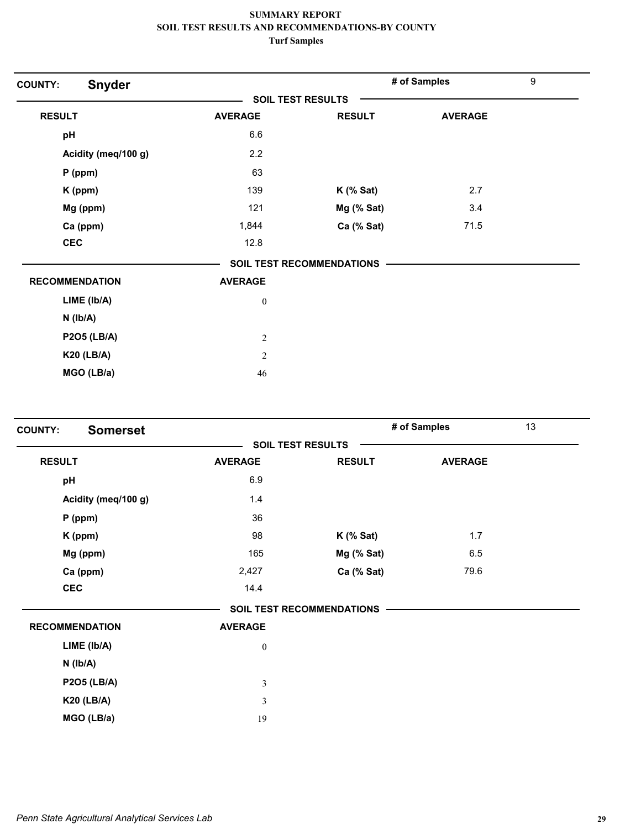| <b>Snyder</b><br><b>COUNTY:</b> |                          |                           | # of Samples   | 9 |
|---------------------------------|--------------------------|---------------------------|----------------|---|
|                                 | <b>SOIL TEST RESULTS</b> |                           |                |   |
| <b>RESULT</b>                   | <b>AVERAGE</b>           | <b>RESULT</b>             | <b>AVERAGE</b> |   |
| pH                              | 6.6                      |                           |                |   |
| Acidity (meq/100 g)             | 2.2                      |                           |                |   |
| $P$ (ppm)                       | 63                       |                           |                |   |
| K (ppm)                         | 139                      | $K$ (% Sat)               | 2.7            |   |
| Mg (ppm)                        | 121                      | Mg (% Sat)                | 3.4            |   |
| Ca (ppm)                        | 1,844                    | Ca (% Sat)                | 71.5           |   |
| <b>CEC</b>                      | 12.8                     |                           |                |   |
|                                 |                          | SOIL TEST RECOMMENDATIONS |                |   |
| <b>RECOMMENDATION</b>           | <b>AVERAGE</b>           |                           |                |   |
| LIME (Ib/A)                     | $\boldsymbol{0}$         |                           |                |   |
| $N$ ( $lb/A$ )                  |                          |                           |                |   |
| <b>P2O5 (LB/A)</b>              | $\mathfrak{2}$           |                           |                |   |
| <b>K20 (LB/A)</b>               | $\overline{2}$           |                           |                |   |
| MGO (LB/a)                      | 46                       |                           |                |   |

| <b>Somerset</b><br><b>COUNTY:</b> |                  |                                  | # of Samples   | 13 |
|-----------------------------------|------------------|----------------------------------|----------------|----|
|                                   |                  | <b>SOIL TEST RESULTS</b>         |                |    |
| <b>RESULT</b>                     | <b>AVERAGE</b>   | <b>RESULT</b>                    | <b>AVERAGE</b> |    |
| pH                                | 6.9              |                                  |                |    |
| Acidity (meq/100 g)               | 1.4              |                                  |                |    |
| $P$ (ppm)                         | 36               |                                  |                |    |
| K (ppm)                           | 98               | $K$ (% Sat)                      | 1.7            |    |
| Mg (ppm)                          | 165              | Mg (% Sat)                       | 6.5            |    |
| Ca (ppm)                          | 2,427            | Ca (% Sat)                       | 79.6           |    |
| <b>CEC</b>                        | 14.4             |                                  |                |    |
|                                   |                  | <b>SOIL TEST RECOMMENDATIONS</b> |                |    |
| <b>RECOMMENDATION</b>             | <b>AVERAGE</b>   |                                  |                |    |
| LIME (Ib/A)                       | $\boldsymbol{0}$ |                                  |                |    |
| $N$ ( $lb/A$ )                    |                  |                                  |                |    |
| <b>P2O5 (LB/A)</b>                | $\mathfrak z$    |                                  |                |    |
| <b>K20 (LB/A)</b>                 | $\mathfrak z$    |                                  |                |    |
| MGO (LB/a)                        | 19               |                                  |                |    |
|                                   |                  |                                  |                |    |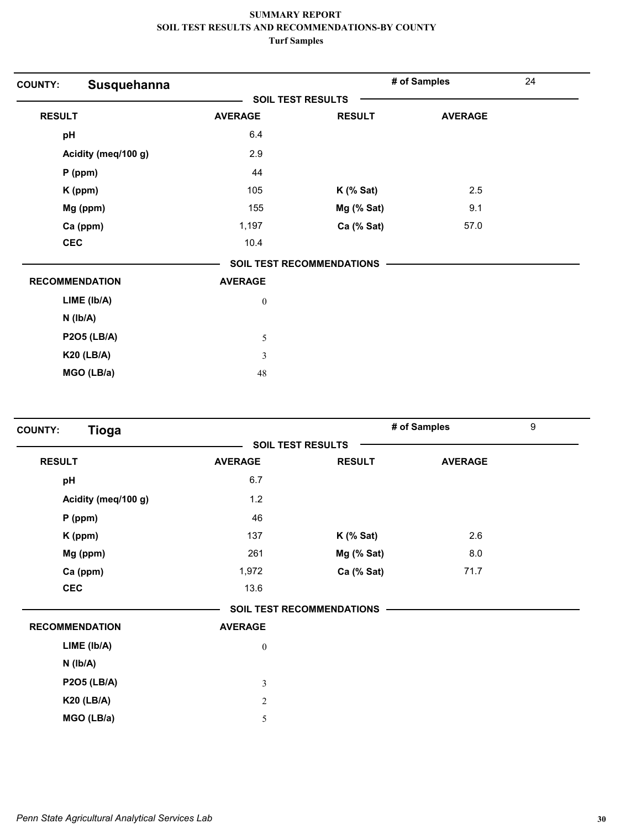| Susquehanna<br><b>COUNTY:</b> |                  |                                  | # of Samples   | 24 |
|-------------------------------|------------------|----------------------------------|----------------|----|
|                               |                  | <b>SOIL TEST RESULTS</b>         |                |    |
| <b>RESULT</b>                 | <b>AVERAGE</b>   | <b>RESULT</b>                    | <b>AVERAGE</b> |    |
| pH                            | 6.4              |                                  |                |    |
| Acidity (meq/100 g)           | 2.9              |                                  |                |    |
| $P$ (ppm)                     | 44               |                                  |                |    |
| K (ppm)                       | 105              | $K$ (% Sat)                      | 2.5            |    |
| Mg (ppm)                      | 155              | Mg (% Sat)                       | 9.1            |    |
| Ca (ppm)                      | 1,197            | Ca (% Sat)                       | 57.0           |    |
| <b>CEC</b>                    | 10.4             |                                  |                |    |
|                               |                  | <b>SOIL TEST RECOMMENDATIONS</b> |                |    |
| <b>RECOMMENDATION</b>         | <b>AVERAGE</b>   |                                  |                |    |
| LIME (Ib/A)                   | $\boldsymbol{0}$ |                                  |                |    |
| $N$ ( $lb/A$ )                |                  |                                  |                |    |
| <b>P2O5 (LB/A)</b>            | 5                |                                  |                |    |
| <b>K20 (LB/A)</b>             | 3                |                                  |                |    |
| MGO (LB/a)                    | 48               |                                  |                |    |

| <b>Tioga</b><br><b>COUNTY:</b> |                  |                                  | # of Samples   | 9 |
|--------------------------------|------------------|----------------------------------|----------------|---|
|                                |                  | <b>SOIL TEST RESULTS</b>         |                |   |
| <b>RESULT</b>                  | <b>AVERAGE</b>   | <b>RESULT</b>                    | <b>AVERAGE</b> |   |
| pH                             | 6.7              |                                  |                |   |
| Acidity (meq/100 g)            | 1.2              |                                  |                |   |
| $P$ (ppm)                      | 46               |                                  |                |   |
| K (ppm)                        | 137              | $K$ (% Sat)                      | 2.6            |   |
| Mg (ppm)                       | 261              | Mg (% Sat)                       | 8.0            |   |
| Ca (ppm)                       | 1,972            | Ca (% Sat)                       | 71.7           |   |
| <b>CEC</b>                     | 13.6             |                                  |                |   |
|                                |                  | <b>SOIL TEST RECOMMENDATIONS</b> |                |   |
| <b>RECOMMENDATION</b>          | <b>AVERAGE</b>   |                                  |                |   |
| $LIME$ ( $lb/A$ )              | $\boldsymbol{0}$ |                                  |                |   |
| $N$ ( $lb/A$ )                 |                  |                                  |                |   |
| <b>P2O5 (LB/A)</b>             | $\mathfrak{Z}$   |                                  |                |   |
| <b>K20 (LB/A)</b>              | $\sqrt{2}$       |                                  |                |   |
| MGO (LB/a)                     | 5                |                                  |                |   |
|                                |                  |                                  |                |   |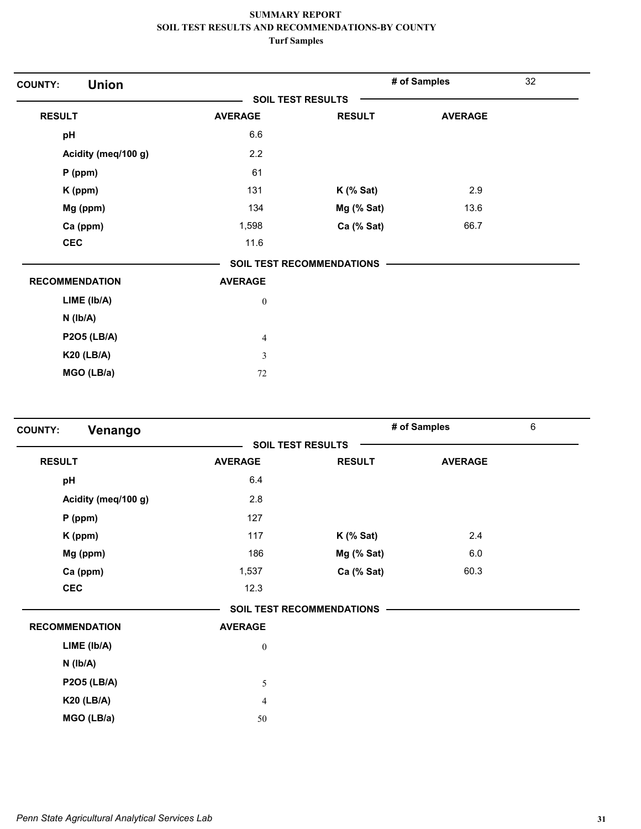| <b>Union</b><br><b>COUNTY:</b> |                  |                           | # of Samples   | 32 |
|--------------------------------|------------------|---------------------------|----------------|----|
|                                |                  | <b>SOIL TEST RESULTS</b>  |                |    |
| <b>RESULT</b>                  | <b>AVERAGE</b>   | <b>RESULT</b>             | <b>AVERAGE</b> |    |
| pH                             | 6.6              |                           |                |    |
| Acidity (meq/100 g)            | 2.2              |                           |                |    |
| $P$ (ppm)                      | 61               |                           |                |    |
| $K$ (ppm)                      | 131              | $K$ (% Sat)               | 2.9            |    |
| Mg (ppm)                       | 134              | Mg (% Sat)                | 13.6           |    |
| Ca (ppm)                       | 1,598            | Ca (% Sat)                | 66.7           |    |
| <b>CEC</b>                     | 11.6             |                           |                |    |
|                                |                  | SOIL TEST RECOMMENDATIONS |                |    |
| <b>RECOMMENDATION</b>          | <b>AVERAGE</b>   |                           |                |    |
| LIME (Ib/A)                    | $\boldsymbol{0}$ |                           |                |    |
| $N$ ( $lb/A$ )                 |                  |                           |                |    |
| <b>P2O5 (LB/A)</b>             | $\overline{4}$   |                           |                |    |
| <b>K20 (LB/A)</b>              | 3                |                           |                |    |
| MGO (LB/a)                     | 72               |                           |                |    |

| Venango<br><b>COUNTY:</b> |                  |                                  | # of Samples   | 6 |
|---------------------------|------------------|----------------------------------|----------------|---|
|                           |                  | <b>SOIL TEST RESULTS</b>         |                |   |
| <b>RESULT</b>             | <b>AVERAGE</b>   | <b>RESULT</b>                    | <b>AVERAGE</b> |   |
| pH                        | 6.4              |                                  |                |   |
| Acidity (meq/100 g)       | 2.8              |                                  |                |   |
| $P$ (ppm)                 | 127              |                                  |                |   |
| K (ppm)                   | 117              | $K$ (% Sat)                      | 2.4            |   |
| Mg (ppm)                  | 186              | Mg (% Sat)                       | 6.0            |   |
| Ca (ppm)                  | 1,537            | Ca (% Sat)                       | 60.3           |   |
| <b>CEC</b>                | 12.3             |                                  |                |   |
|                           |                  | <b>SOIL TEST RECOMMENDATIONS</b> |                |   |
| <b>RECOMMENDATION</b>     | <b>AVERAGE</b>   |                                  |                |   |
| LIME (lb/A)               | $\boldsymbol{0}$ |                                  |                |   |
| $N$ ( $Ib/A$ )            |                  |                                  |                |   |
| <b>P2O5 (LB/A)</b>        | $\sqrt{5}$       |                                  |                |   |
| <b>K20 (LB/A)</b>         | $\overline{4}$   |                                  |                |   |
| MGO (LB/a)                | 50               |                                  |                |   |
|                           |                  |                                  |                |   |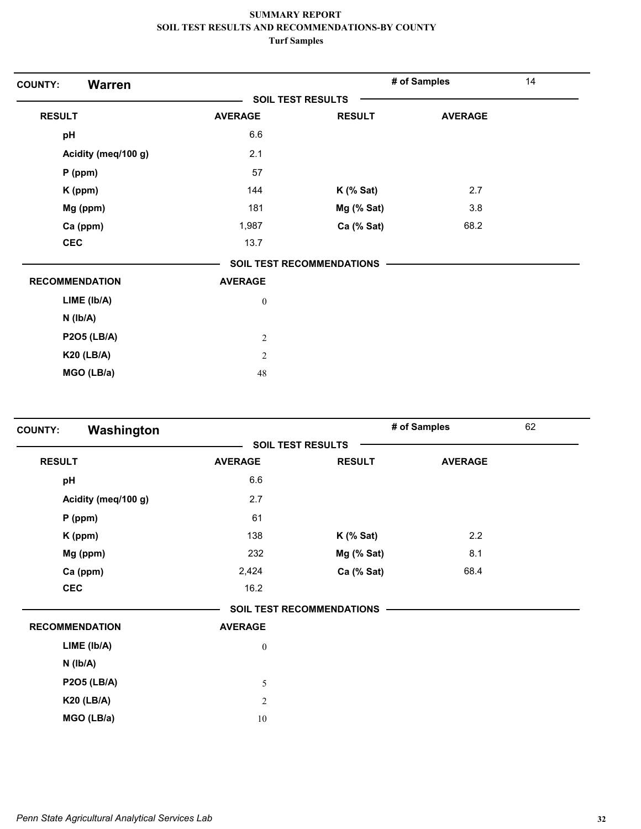| <b>Warren</b><br><b>COUNTY:</b> |                          |                           | # of Samples   | 14 |
|---------------------------------|--------------------------|---------------------------|----------------|----|
|                                 | <b>SOIL TEST RESULTS</b> |                           |                |    |
| <b>RESULT</b>                   | <b>AVERAGE</b>           | <b>RESULT</b>             | <b>AVERAGE</b> |    |
| pH                              | 6.6                      |                           |                |    |
| Acidity (meq/100 g)             | 2.1                      |                           |                |    |
| $P$ (ppm)                       | 57                       |                           |                |    |
| K (ppm)                         | 144                      | $K$ (% Sat)               | 2.7            |    |
| Mg (ppm)                        | 181                      | Mg (% Sat)                | 3.8            |    |
| Ca (ppm)                        | 1,987                    | Ca (% Sat)                | 68.2           |    |
| <b>CEC</b>                      | 13.7                     |                           |                |    |
|                                 |                          | SOIL TEST RECOMMENDATIONS |                |    |
| <b>RECOMMENDATION</b>           | <b>AVERAGE</b>           |                           |                |    |
| LIME (lb/A)                     | $\boldsymbol{0}$         |                           |                |    |
| $N$ ( $lb/A$ )                  |                          |                           |                |    |
| <b>P2O5 (LB/A)</b>              | $\sqrt{2}$               |                           |                |    |
| <b>K20 (LB/A)</b>               | $\overline{c}$           |                           |                |    |
| MGO (LB/a)                      | 48                       |                           |                |    |

| Washington<br><b>COUNTY:</b> |                  |                                  | # of Samples   | 62 |
|------------------------------|------------------|----------------------------------|----------------|----|
|                              |                  | <b>SOIL TEST RESULTS</b>         |                |    |
| <b>RESULT</b>                | <b>AVERAGE</b>   | <b>RESULT</b>                    | <b>AVERAGE</b> |    |
| pH                           | 6.6              |                                  |                |    |
| Acidity (meq/100 g)          | 2.7              |                                  |                |    |
| $P$ (ppm)                    | 61               |                                  |                |    |
| K (ppm)                      | 138              | $K$ (% Sat)                      | 2.2            |    |
| Mg (ppm)                     | 232              | Mg (% Sat)                       | 8.1            |    |
| Ca (ppm)                     | 2,424            | Ca (% Sat)                       | 68.4           |    |
| <b>CEC</b>                   | 16.2             |                                  |                |    |
|                              |                  | <b>SOIL TEST RECOMMENDATIONS</b> |                |    |
| <b>RECOMMENDATION</b>        | <b>AVERAGE</b>   |                                  |                |    |
| LIME (lb/A)                  | $\boldsymbol{0}$ |                                  |                |    |
| $N$ ( $Ib/A$ )               |                  |                                  |                |    |
| <b>P2O5 (LB/A)</b>           | 5                |                                  |                |    |
| <b>K20 (LB/A)</b>            | $\mathfrak{2}$   |                                  |                |    |
| MGO (LB/a)                   | 10               |                                  |                |    |
|                              |                  |                                  |                |    |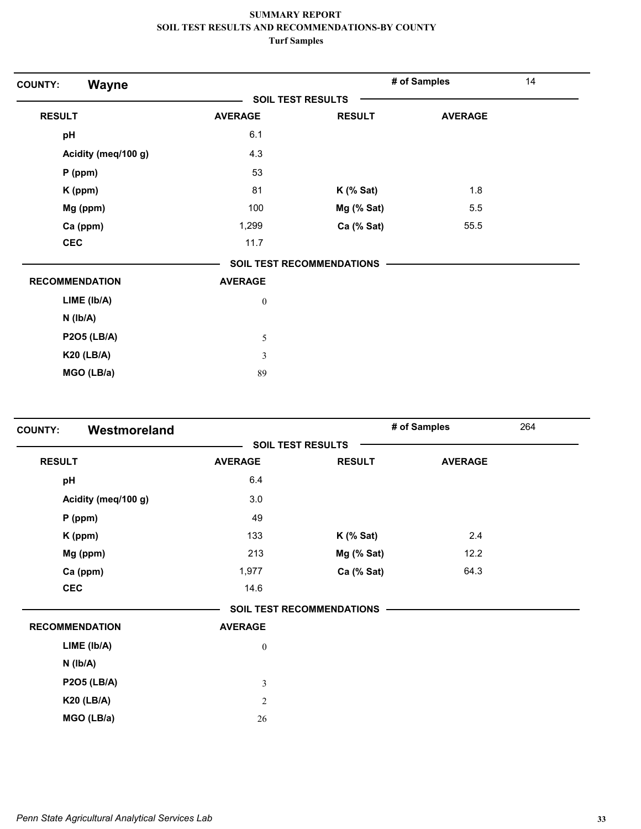| Wayne<br><b>COUNTY:</b> |                  |                           | # of Samples   | 14 |
|-------------------------|------------------|---------------------------|----------------|----|
|                         |                  | <b>SOIL TEST RESULTS</b>  |                |    |
| <b>RESULT</b>           | <b>AVERAGE</b>   | <b>RESULT</b>             | <b>AVERAGE</b> |    |
| pH                      | 6.1              |                           |                |    |
| Acidity (meq/100 g)     | 4.3              |                           |                |    |
| $P$ (ppm)               | 53               |                           |                |    |
| K (ppm)                 | 81               | $K$ (% Sat)               | 1.8            |    |
| Mg (ppm)                | 100              | Mg (% Sat)                | 5.5            |    |
| Ca (ppm)                | 1,299            | Ca (% Sat)                | 55.5           |    |
| <b>CEC</b>              | 11.7             |                           |                |    |
|                         |                  | SOIL TEST RECOMMENDATIONS |                |    |
| <b>RECOMMENDATION</b>   | <b>AVERAGE</b>   |                           |                |    |
| LIME (Ib/A)             | $\boldsymbol{0}$ |                           |                |    |
| $N$ ( $lb/A$ )          |                  |                           |                |    |
| <b>P2O5 (LB/A)</b>      | 5                |                           |                |    |
| <b>K20 (LB/A)</b>       | 3                |                           |                |    |
| MGO (LB/a)              | 89               |                           |                |    |

| Westmoreland<br><b>COUNTY:</b> |                  |                                  | # of Samples<br>264 |  |
|--------------------------------|------------------|----------------------------------|---------------------|--|
|                                |                  | <b>SOIL TEST RESULTS</b>         |                     |  |
| <b>RESULT</b>                  | <b>AVERAGE</b>   | <b>RESULT</b>                    | <b>AVERAGE</b>      |  |
| pH                             | 6.4              |                                  |                     |  |
| Acidity (meq/100 g)            | 3.0              |                                  |                     |  |
| $P$ (ppm)                      | 49               |                                  |                     |  |
| K (ppm)                        | 133              | $K$ (% Sat)                      | 2.4                 |  |
| Mg (ppm)                       | 213              | Mg (% Sat)                       | 12.2                |  |
| Ca (ppm)                       | 1,977            | Ca (% Sat)                       | 64.3                |  |
| <b>CEC</b>                     | 14.6             |                                  |                     |  |
|                                |                  | <b>SOIL TEST RECOMMENDATIONS</b> |                     |  |
| <b>RECOMMENDATION</b>          | <b>AVERAGE</b>   |                                  |                     |  |
| LIME (lb/A)                    | $\boldsymbol{0}$ |                                  |                     |  |
| $N$ ( $lb/A$ )                 |                  |                                  |                     |  |
| <b>P2O5 (LB/A)</b>             | $\mathfrak{Z}$   |                                  |                     |  |
| <b>K20 (LB/A)</b>              | $\mathfrak{2}$   |                                  |                     |  |
| MGO (LB/a)                     | 26               |                                  |                     |  |
|                                |                  |                                  |                     |  |